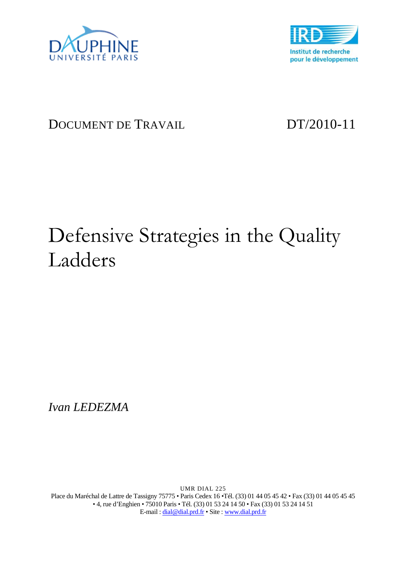



# DOCUMENT DE TRAVAIL DT/2010-11

# Defensive Strategies in the Quality Ladders

*Ivan LEDEZMA* 

UMR DIAL 225 Place du Maréchal de Lattre de Tassigny 75775 • Paris Cedex 16 •Tél. (33) 01 44 05 45 42 • Fax (33) 01 44 05 45 45 • 4, rue d'Enghien • 75010 Paris • Tél. (33) 01 53 24 14 50 • Fax (33) 01 53 24 14 51 E-mail : dial@dial.prd.fr • Site : www.dial.prd.fr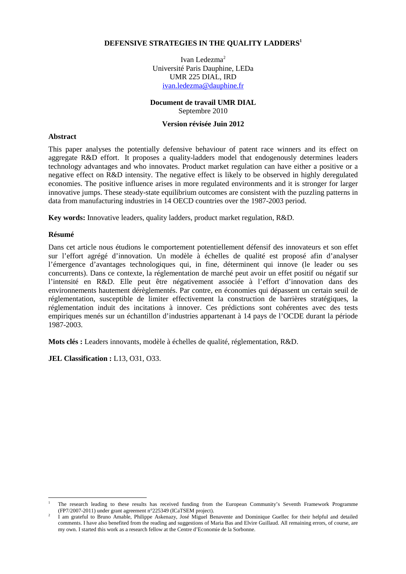### **DEFENSIVE STRATEGIES IN THE QUALITY LADDERS<sup>1</sup>**

Ivan Ledezma<sup>2</sup> Université Paris Dauphine, LEDa UMR 225 DIAL, IRD ivan.ledezma@dauphine.fr

### **Document de travail UMR DIAL** Septembre 2010

### **Version révisée Juin 2012**

### **Abstract**

This paper analyses the potentially defensive behaviour of patent race winners and its effect on aggregate R&D effort. It proposes a quality-ladders model that endogenously determines leaders technology advantages and who innovates. Product market regulation can have either a positive or a negative effect on R&D intensity. The negative effect is likely to be observed in highly deregulated economies. The positive influence arises in more regulated environments and it is stronger for larger innovative jumps. These steady-state equilibrium outcomes are consistent with the puzzling patterns in data from manufacturing industries in 14 OECD countries over the 1987-2003 period.

**Key words:** Innovative leaders, quality ladders, product market regulation, R&D.

### **Résumé**

 $\overline{a}$ 

Dans cet article nous étudions le comportement potentiellement défensif des innovateurs et son effet sur l'effort agrégé d'innovation. Un modèle à échelles de qualité est proposé afin d'analyser l'émergence d'avantages technologiques qui, in fine, déterminent qui innove (le leader ou ses concurrents). Dans ce contexte, la réglementation de marché peut avoir un effet positif ou négatif sur l'intensité en R&D. Elle peut être négativement associée à l'effort d'innovation dans des environnements hautement dérèglementés. Par contre, en économies qui dépassent un certain seuil de réglementation, susceptible de limiter effectivement la construction de barrières stratégiques, la réglementation induit des incitations à innover. Ces prédictions sont cohérentes avec des tests empiriques menés sur un échantillon d'industries appartenant à 14 pays de l'OCDE durant la période 1987-2003.

**Mots clés :** Leaders innovants, modèle à échelles de qualité, réglementation, R&D.

**JEL Classification :** L13, O31, O33.

<sup>1</sup> The research leading to these results has received funding from the European Community's Seventh Framework Programme (FP7/2007-2011) under grant agreement n°225349 (ICaTSEM project).

<sup>2</sup> I am grateful to Bruno Amable, Philippe Askenazy, José Miguel Benavente and Dominique Guellec for their helpful and detailed comments. I have also benefited from the reading and suggestions of Maria Bas and Elvire Guillaud. All remaining errors, of course, are my own. I started this work as a research fellow at the Centre d'Economie de la Sorbonne.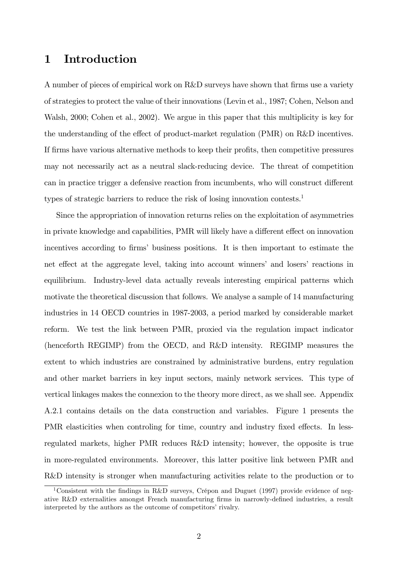# 1 Introduction

A number of pieces of empirical work on R&D surveys have shown that firms use a variety of strategies to protect the value of their innovations (Levin et al., 1987; Cohen, Nelson and Walsh, 2000; Cohen et al., 2002). We argue in this paper that this multiplicity is key for the understanding of the effect of product-market regulation  $(PMR)$  on  $R&D$  incentives. If firms have various alternative methods to keep their profits, then competitive pressures may not necessarily act as a neutral slack-reducing device. The threat of competition can in practice trigger a defensive reaction from incumbents, who will construct different types of strategic barriers to reduce the risk of losing innovation contests.<sup>1</sup>

Since the appropriation of innovation returns relies on the exploitation of asymmetries in private knowledge and capabilities, PMR will likely have a different effect on innovation incentives according to firms' business positions. It is then important to estimate the net effect at the aggregate level, taking into account winners' and losers' reactions in equilibrium. Industry-level data actually reveals interesting empirical patterns which motivate the theoretical discussion that follows. We analyse a sample of 14 manufacturing industries in 14 OECD countries in 1987-2003, a period marked by considerable market reform. We test the link between PMR, proxied via the regulation impact indicator (henceforth REGIMP) from the OECD, and R&D intensity. REGIMP measures the extent to which industries are constrained by administrative burdens, entry regulation and other market barriers in key input sectors, mainly network services. This type of vertical linkages makes the connexion to the theory more direct, as we shall see. Appendix A.2.1 contains details on the data construction and variables. Figure 1 presents the PMR elasticities when controling for time, country and industry fixed effects. In lessregulated markets, higher PMR reduces R&D intensity; however, the opposite is true in more-regulated environments. Moreover, this latter positive link between PMR and R&D intensity is stronger when manufacturing activities relate to the production or to

<sup>&</sup>lt;sup>1</sup>Consistent with the findings in R&D surveys, Crépon and Duguet (1997) provide evidence of negative R&D externalities amongst French manufacturing firms in narrowly-defined industries, a result interpreted by the authors as the outcome of competitors' rivalry.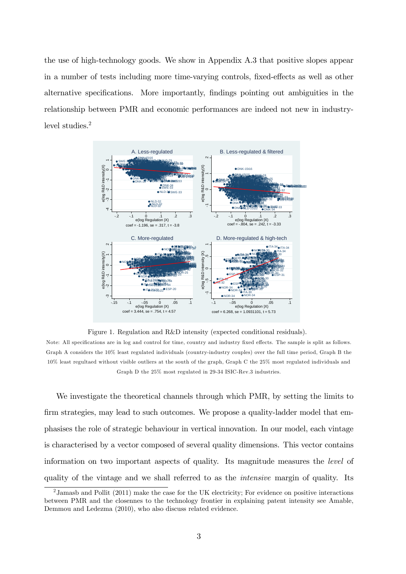the use of high-technology goods. We show in Appendix A.3 that positive slopes appear in a number of tests including more time-varying controls, fixed-effects as well as other alternative specifications. More importantly, findings pointing out ambiguities in the relationship between PMR and economic performances are indeed not new in industrylevel studies.<sup>2</sup>



Figure 1. Regulation and R&D intensity (expected conditional residuals).

Note: All specifications are in log and control for time, country and industry fixed effects. The sample is split as follows. Graph A considers the 10% least regulated individuals (country-industry couples) over the full time period, Graph B the 10% least regultaed without visible outliers at the south of the graph, Graph C the 25% most regulated individuals and Graph D the 25% most regulated in 29-34 ISIC-Rev.3 industries.

We investigate the theoretical channels through which PMR, by setting the limits to firm strategies, may lead to such outcomes. We propose a quality-ladder model that emphasises the role of strategic behaviour in vertical innovation. In our model, each vintage is characterised by a vector composed of several quality dimensions. This vector contains information on two important aspects of quality. Its magnitude measures the level of quality of the vintage and we shall referred to as the intensive margin of quality. Its

<sup>&</sup>lt;sup>2</sup> Jamasb and Pollit (2011) make the case for the UK electricity; For evidence on positive interactions between PMR and the closennes to the technology frontier in explaining patent intensity see Amable, Demmou and Ledezma (2010), who also discuss related evidence.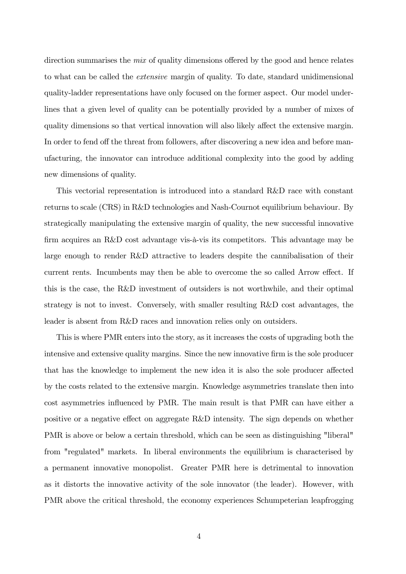direction summarises the *mix* of quality dimensions offered by the good and hence relates to what can be called the extensive margin of quality. To date, standard unidimensional quality-ladder representations have only focused on the former aspect. Our model underlines that a given level of quality can be potentially provided by a number of mixes of quality dimensions so that vertical innovation will also likely affect the extensive margin. In order to fend off the threat from followers, after discovering a new idea and before manufacturing, the innovator can introduce additional complexity into the good by adding new dimensions of quality.

This vectorial representation is introduced into a standard R&D race with constant returns to scale (CRS) in R&D technologies and Nash-Cournot equilibrium behaviour. By strategically manipulating the extensive margin of quality, the new successful innovative firm acquires an R&D cost advantage vis-à-vis its competitors. This advantage may be large enough to render R&D attractive to leaders despite the cannibalisation of their current rents. Incumbents may then be able to overcome the so called Arrow effect. If this is the case, the R&D investment of outsiders is not worthwhile, and their optimal strategy is not to invest. Conversely, with smaller resulting R&D cost advantages, the leader is absent from R&D races and innovation relies only on outsiders.

This is where PMR enters into the story, as it increases the costs of upgrading both the intensive and extensive quality margins. Since the new innovative firm is the sole producer that has the knowledge to implement the new idea it is also the sole producer affected by the costs related to the extensive margin. Knowledge asymmetries translate then into cost asymmetries influenced by PMR. The main result is that PMR can have either a positive or a negative effect on aggregate R&D intensity. The sign depends on whether PMR is above or below a certain threshold, which can be seen as distinguishing "liberal" from "regulated" markets. In liberal environments the equilibrium is characterised by a permanent innovative monopolist. Greater PMR here is detrimental to innovation as it distorts the innovative activity of the sole innovator (the leader). However, with PMR above the critical threshold, the economy experiences Schumpeterian leapfrogging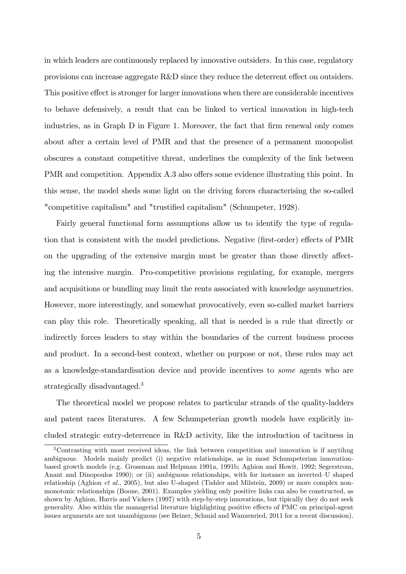in which leaders are continuously replaced by innovative outsiders. In this case, regulatory provisions can increase aggregate  $R\&D$  since they reduce the deterrent effect on outsiders. This positive effect is stronger for larger innovations when there are considerable incentives to behave defensively, a result that can be linked to vertical innovation in high-tech industries, as in Graph  $D$  in Figure 1. Moreover, the fact that firm renewal only comes about after a certain level of PMR and that the presence of a permanent monopolist obscures a constant competitive threat, underlines the complexity of the link between PMR and competition. Appendix A.3 also offers some evidence illustrating this point. In this sense, the model sheds some light on the driving forces characterising the so-called "competitive capitalism" and "trustified capitalism" (Schumpeter, 1928).

Fairly general functional form assumptions allow us to identify the type of regulation that is consistent with the model predictions. Negative (first-order) effects of PMR on the upgrading of the extensive margin must be greater than those directly affecting the intensive margin. Pro-competitive provisions regulating, for example, mergers and acquisitions or bundling may limit the rents associated with knowledge asymmetries. However, more interestingly, and somewhat provocatively, even so-called market barriers can play this role. Theoretically speaking, all that is needed is a rule that directly or indirectly forces leaders to stay within the boundaries of the current business process and product. In a second-best context, whether on purpose or not, these rules may act as a knowledge-standardisation device and provide incentives to some agents who are strategically disadvantaged.<sup>3</sup>

The theoretical model we propose relates to particular strands of the quality-ladders and patent races literatures. A few Schumpeterian growth models have explicitly included strategic entry-deterrence in R&D activity, like the introduction of tacitness in

<sup>3</sup>Contrasting with most received ideas, the link between competition and innovation is if anytihng ambiguous. Models mainly predict (i) negative relationships, as in most Schumpeterian innovationbased growth models (e.g. Grossman and Helpman 1991a, 1991b; Aghion and Howit, 1992; Segerstrom, Anant and Dinopoulos 1990); or (ii) ambiguous relationships, with for instance an inverted–U shaped relatioship (Aghion et al., 2005), but also U-shaped (Tishler and Milstein, 2009) or more complex nonmonotonic relationships (Boone, 2001). Examples yielding only positive links can also be constructed, as shown by Aghion, Harris and Vickers (1997) with step-by-step innovations, but tipically they do not seek generality. Also within the managerial literature highlighting positive effects of PMC on principal-agent issues arguments are not unambiguous (see Beiner, Schmid and Wanzenried, 2011 for a recent discussion).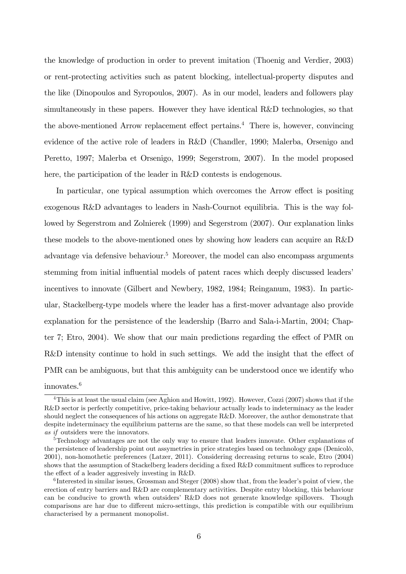the knowledge of production in order to prevent imitation (Thoenig and Verdier, 2003) or rent-protecting activities such as patent blocking, intellectual-property disputes and the like (Dinopoulos and Syropoulos, 2007). As in our model, leaders and followers play simultaneously in these papers. However they have identical R&D technologies, so that the above-mentioned Arrow replacement effect pertains.<sup>4</sup> There is, however, convincing evidence of the active role of leaders in R&D (Chandler, 1990; Malerba, Orsenigo and Peretto, 1997; Malerba et Orsenigo, 1999; Segerstrom, 2007). In the model proposed here, the participation of the leader in R&D contests is endogenous.

In particular, one typical assumption which overcomes the Arrow effect is positing exogenous R&D advantages to leaders in Nash-Cournot equilibria. This is the way followed by Segerstrom and Zolnierek (1999) and Segerstrom (2007). Our explanation links these models to the above-mentioned ones by showing how leaders can acquire an R&D advantage via defensive behaviour.<sup>5</sup> Moreover, the model can also encompass arguments stemming from initial influential models of patent races which deeply discussed leaders' incentives to innovate (Gilbert and Newbery, 1982, 1984; Reinganum, 1983). In particular, Stackelberg-type models where the leader has a first-mover advantage also provide explanation for the persistence of the leadership (Barro and Sala-i-Martin, 2004; Chapter 7; Etro,  $2004$ ). We show that our main predictions regarding the effect of PMR on  $R&D$  intensity continue to hold in such settings. We add the insight that the effect of PMR can be ambiguous, but that this ambiguity can be understood once we identify who innovates.<sup>6</sup>

<sup>&</sup>lt;sup>4</sup>This is at least the usual claim (see Aghion and Howitt, 1992). However, Cozzi (2007) shows that if the R&D sector is perfectly competitive, price-taking behaviour actually leads to indeterminacy as the leader should neglect the consequences of his actions on aggregate R&D. Moreover, the author demonstrate that despite indeterminacy the equilibrium patterns are the same, so that these models can well be interpreted as if outsiders were the innovators.

<sup>&</sup>lt;sup>5</sup>Technology advantages are not the only way to ensure that leaders innovate. Other explanations of the persistence of leadership point out assymetries in price strategies based on technology gaps (Denicolo, 2001), non-homothetic preferences (Latzer, 2011). Considering decreasing returns to scale, Etro (2004) shows that the assumption of Stackelberg leaders deciding a fixed R&D commitment suffices to reproduce the effect of a leader aggresively investing in  $R&D$ .

 ${}^{6}$ Interested in similar issues, Grossman and Steger (2008) show that, from the leader's point of view, the erection of entry barriers and R&D are complementary activities. Despite entry blocking, this behaviour can be conducive to growth when outsidersí R&D does not generate knowledge spillovers. Though comparisons are har due to different micro-settings, this prediction is compatible with our equilibrium characterised by a permanent monopolist.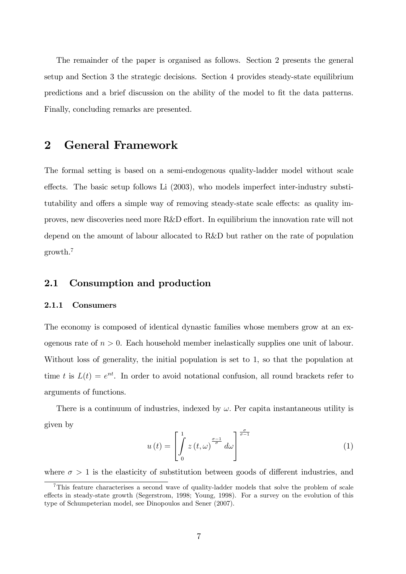The remainder of the paper is organised as follows. Section 2 presents the general setup and Section 3 the strategic decisions. Section 4 provides steady-state equilibrium predictions and a brief discussion on the ability of the model to fit the data patterns. Finally, concluding remarks are presented.

# 2 General Framework

The formal setting is based on a semi-endogenous quality-ladder model without scale effects. The basic setup follows Li  $(2003)$ , who models imperfect inter-industry substitutability and offers a simple way of removing steady-state scale effects: as quality improves, new discoveries need more R&D effort. In equilibrium the innovation rate will not depend on the amount of labour allocated to R&D but rather on the rate of population growth.<sup>7</sup>

# 2.1 Consumption and production

### 2.1.1 Consumers

The economy is composed of identical dynastic families whose members grow at an exogenous rate of  $n > 0$ . Each household member inelastically supplies one unit of labour. Without loss of generality, the initial population is set to 1, so that the population at time t is  $L(t) = e^{nt}$ . In order to avoid notational confusion, all round brackets refer to arguments of functions.

There is a continuum of industries, indexed by  $\omega$ . Per capita instantaneous utility is given by

$$
u(t) = \left[\int_{0}^{1} z(t,\omega)^{\frac{\sigma-1}{\sigma}} d\omega\right]^{\frac{\sigma}{\sigma-1}}
$$
(1)

where  $\sigma > 1$  is the elasticity of substitution between goods of different industries, and

<sup>7</sup>This feature characterises a second wave of quality-ladder models that solve the problem of scale effects in steady-state growth (Segerstrom, 1998; Young, 1998). For a survey on the evolution of this type of Schumpeterian model, see Dinopoulos and Sener (2007).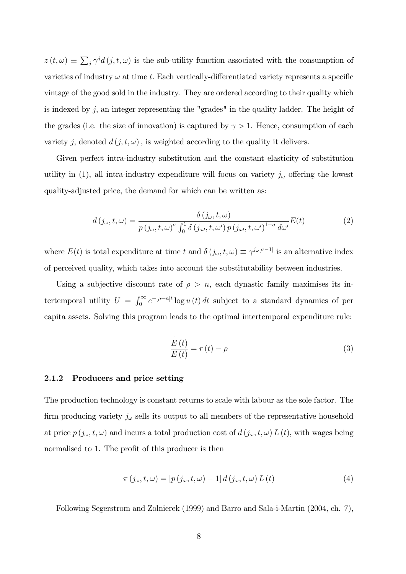$z(t, \omega) \equiv \sum_j \gamma^j d(j, t, \omega)$  is the sub-utility function associated with the consumption of varieties of industry  $\omega$  at time t. Each vertically-differentiated variety represents a specific vintage of the good sold in the industry. They are ordered according to their quality which is indexed by  $j$ , an integer representing the "grades" in the quality ladder. The height of the grades (i.e. the size of innovation) is captured by  $\gamma > 1$ . Hence, consumption of each variety j, denoted  $d(j, t, \omega)$ , is weighted according to the quality it delivers.

Given perfect intra-industry substitution and the constant elasticity of substitution utility in (1), all intra-industry expenditure will focus on variety  $j_{\omega}$  offering the lowest quality-adjusted price, the demand for which can be written as:

$$
d(j_{\omega},t,\omega) = \frac{\delta(j_{\omega},t,\omega)}{p(j_{\omega},t,\omega)^{\sigma} \int_{0}^{1} \delta(j_{\omega},t,\omega') p(j_{\omega},t,\omega')^{1-\sigma} d\omega'} E(t)
$$
(2)

where  $E(t)$  is total expenditure at time t and  $\delta(j_\omega, t, \omega) \equiv \gamma^{j_\omega[\sigma-1]}$  is an alternative index of perceived quality, which takes into account the substitutability between industries.

Using a subjective discount rate of  $\rho > n$ , each dynastic family maximises its intertemporal utility  $U = \int_0^\infty e^{-[\rho - n]t} \log u(t) dt$  subject to a standard dynamics of per capita assets. Solving this program leads to the optimal intertemporal expenditure rule:

$$
\frac{\stackrel{\cdot}{E}(t)}{E(t)} = r(t) - \rho \tag{3}
$$

#### 2.1.2 Producers and price setting

The production technology is constant returns to scale with labour as the sole factor. The firm producing variety  $j_{\omega}$  sells its output to all members of the representative household at price  $p(j_{\omega}, t, \omega)$  and incurs a total production cost of  $d(j_{\omega}, t, \omega) L(t)$ , with wages being normalised to 1. The profit of this producer is then

$$
\pi(j_{\omega}, t, \omega) = [p(j_{\omega}, t, \omega) - 1] d(j_{\omega}, t, \omega) L(t)
$$
\n(4)

Following Segerstrom and Zolnierek (1999) and Barro and Sala-i-Martin (2004, ch. 7),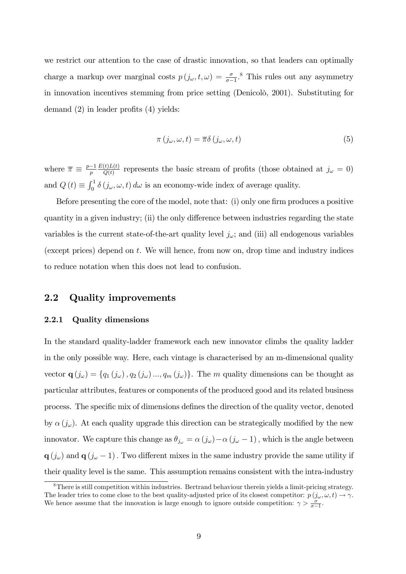we restrict our attention to the case of drastic innovation, so that leaders can optimally charge a markup over marginal costs  $p(j_{\omega}, t, \omega) = \frac{\sigma}{\sigma - 1}$ .<sup>8</sup> This rules out any asymmetry in innovation incentives stemming from price setting (Denicolo, 2001). Substituting for demand  $(2)$  in leader profits  $(4)$  yields:

$$
\pi(j_{\omega}, \omega, t) = \overline{\pi}\delta(j_{\omega}, \omega, t)
$$
\n(5)

where  $\overline{\pi} \equiv \frac{p-1}{p}$  $E(t)L(t)$  $\frac{\partial f(L(t))}{\partial g(t)}$  represents the basic stream of profits (those obtained at  $j_{\omega} = 0$ ) and  $Q(t) \equiv \int_0^1 \delta(j_\omega, \omega, t) d\omega$  is an economy-wide index of average quality.

Before presenting the core of the model, note that:  $(i)$  only one firm produces a positive quantity in a given industry; (ii) the only difference between industries regarding the state variables is the current state-of-the-art quality level  $j_{\omega}$ ; and (iii) all endogenous variables (except prices) depend on  $t$ . We will hence, from now on, drop time and industry indices to reduce notation when this does not lead to confusion.

# 2.2 Quality improvements

### 2.2.1 Quality dimensions

In the standard quality-ladder framework each new innovator climbs the quality ladder in the only possible way. Here, each vintage is characterised by an m-dimensional quality vector  $\mathbf{q}(j_{\omega}) = \{q_1(j_{\omega}), q_2(j_{\omega}),..., q_m(j_{\omega})\}\$ . The m quality dimensions can be thought as particular attributes, features or components of the produced good and its related business process. The specific mix of dimensions defines the direction of the quality vector, denoted by  $\alpha(j_\omega)$ . At each quality upgrade this direction can be strategically modified by the new innovator. We capture this change as  $\theta_{j_{\omega}} = \alpha(j_{\omega}) - \alpha(j_{\omega} - 1)$ , which is the angle between  $\mathbf{q}$  (j<sub>ω</sub>) and  $\mathbf{q}$  (j<sub>ω</sub> - 1). Two different mixes in the same industry provide the same utility if their quality level is the same. This assumption remains consistent with the intra-industry

<sup>&</sup>lt;sup>8</sup>There is still competition within industries. Bertrand behaviour therein yields a limit-pricing strategy. The leader tries to come close to the best quality-adjusted price of its closest competitor:  $p(j_\omega, \omega, t) \to \gamma$ . We hence assume that the innovation is large enough to ignore outside competition:  $\gamma > \frac{\sigma}{\sigma - 1}$ .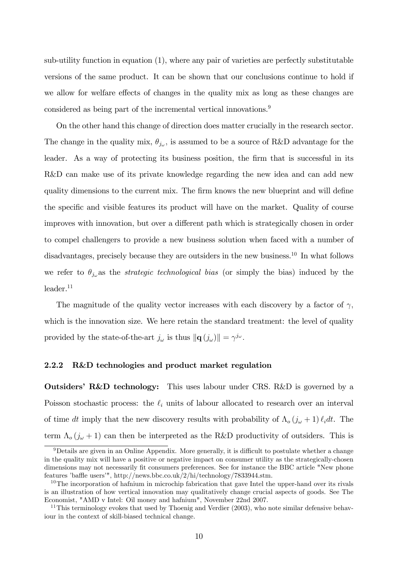sub-utility function in equation  $(1)$ , where any pair of varieties are perfectly substitutable versions of the same product. It can be shown that our conclusions continue to hold if we allow for welfare effects of changes in the quality mix as long as these changes are considered as being part of the incremental vertical innovations.<sup>9</sup>

On the other hand this change of direction does matter crucially in the research sector. The change in the quality mix,  $\theta_{j_{\omega}}$ , is assumed to be a source of R&D advantage for the leader. As a way of protecting its business position, the firm that is successful in its R&D can make use of its private knowledge regarding the new idea and can add new quality dimensions to the current mix. The firm knows the new blueprint and will define the specific and visible features its product will have on the market. Quality of course improves with innovation, but over a different path which is strategically chosen in order to compel challengers to provide a new business solution when faced with a number of disadvantages, precisely because they are outsiders in the new business.<sup>10</sup> In what follows we refer to  $\theta_{j_{\omega}}$  as the *strategic technological bias* (or simply the bias) induced by the  $leader.<sup>11</sup>$ 

The magnitude of the quality vector increases with each discovery by a factor of  $\gamma$ , which is the innovation size. We here retain the standard treatment: the level of quality provided by the state-of-the-art  $j_{\omega}$  is thus  $\|\mathbf{q}\,(j_{\omega})\| = \gamma^{j_{\omega}}$ .

#### 2.2.2 R&D technologies and product market regulation

**Outsiders' R&D technology:** This uses labour under CRS. R&D is governed by a Poisson stochastic process: the  $\ell_i$  units of labour allocated to research over an interval of time dt imply that the new discovery results with probability of  $\Lambda_o (j_\omega + 1) \ell_i dt$ . The term  $\Lambda_o (j_\omega + 1)$  can then be interpreted as the R&D productivity of outsiders. This is

 $9$ Details are given in an Online Appendix. More generally, it is difficult to postulate whether a change in the quality mix will have a positive or negative impact on consumer utility as the strategically-chosen dimensions may not necessarily fit consumers preferences. See for instance the BBC article "New phone features 'baffle users'", http://news.bbc.co.uk/2/hi/technology/7833944.stm.

 $10$ The incorporation of hafnium in microchip fabrication that gave Intel the upper-hand over its rivals is an illustration of how vertical innovation may qualitatively change crucial aspects of goods. See The Economist, "AMD v Intel: Oil money and hafnium", November 22nd 2007.

<sup>&</sup>lt;sup>11</sup>This terminology evokes that used by Thoenig and Verdier (2003), who note similar defensive behaviour in the context of skill-biased technical change.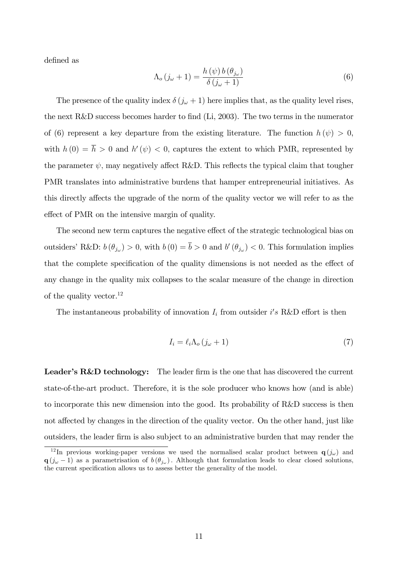defined as

$$
\Lambda_o(j_\omega + 1) = \frac{h(\psi) b(\theta_{j_\omega})}{\delta(j_\omega + 1)}
$$
\n(6)

The presence of the quality index  $\delta(j_\omega + 1)$  here implies that, as the quality level rises, the next R&D success becomes harder to find  $(Li, 2003)$ . The two terms in the numerator of (6) represent a key departure from the existing literature. The function  $h(\psi) > 0$ , with  $h(0) = h > 0$  and  $h'(\psi) < 0$ , captures the extent to which PMR, represented by the parameter  $\psi$ , may negatively affect R&D. This reflects the typical claim that tougher PMR translates into administrative burdens that hamper entrepreneurial initiatives. As this directly affects the upgrade of the norm of the quality vector we will refer to as the effect of PMR on the intensive margin of quality.

The second new term captures the negative effect of the strategic technological bias on outsiders' R&D:  $b(\theta_{j\omega}) > 0$ , with  $b(0) = b > 0$  and  $b'(\theta_{j\omega}) < 0$ . This formulation implies that the complete specification of the quality dimensions is not needed as the effect of any change in the quality mix collapses to the scalar measure of the change in direction of the quality vector.<sup>12</sup>

The instantaneous probability of innovation  $I_i$  from outsider i's R&D effort is then

$$
I_i = \ell_i \Lambda_o (j_\omega + 1) \tag{7}
$$

**Leader's R&D technology:** The leader firm is the one that has discovered the current state-of-the-art product. Therefore, it is the sole producer who knows how (and is able) to incorporate this new dimension into the good. Its probability of R&D success is then not affected by changes in the direction of the quality vector. On the other hand, just like outsiders, the leader Örm is also subject to an administrative burden that may render the

<sup>&</sup>lt;sup>12</sup>In previous working-paper versions we used the normalised scalar product between  $q(j_\omega)$  and  $q(j_{\omega}-1)$  as a parametrisation of  $b(\theta_{j_{\omega}})$ . Although that formulation leads to clear closed solutions, the current specification allows us to assess better the generality of the model.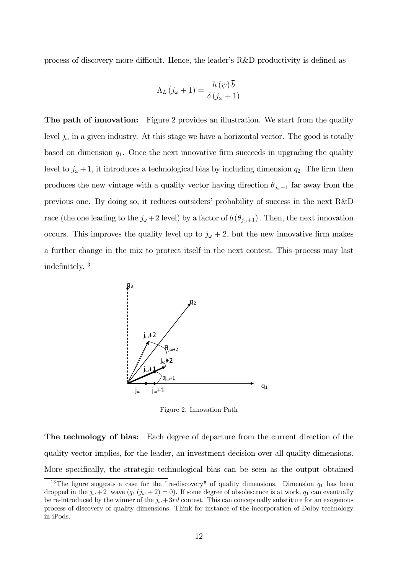process of discovery more difficult. Hence, the leader's  $R&D$  productivity is defined as

$$
\Lambda_L (j_\omega + 1) = \frac{h(\psi)\,\overline{b}}{\delta (j_\omega + 1)}
$$

**The path of innovation:** Figure 2 provides an illustration. We start from the quality level  $j_{\omega}$  in a given industry. At this stage we have a horizontal vector. The good is totally based on dimension  $q_1$ . Once the next innovative firm succeeds in upgrading the quality level to  $j_{\omega} + 1$ , it introduces a technological bias by including dimension  $q_2$ . The firm then produces the new vintage with a quality vector having direction  $\theta_{j_{\omega}+1}$  far away from the previous one. By doing so, it reduces outsiders' probability of success in the next  $R\&D$ race (the one leading to the  $j_{\omega}+2$  level) by a factor of  $b(\theta_{j_{\omega}+1})$ . Then, the next innovation occurs. This improves the quality level up to  $j_{\omega} + 2$ , but the new innovative firm makes a further change in the mix to protect itself in the next contest: This process may last indefinitely. $13$ 



Figure 2. Innovation Path

The technology of bias: Each degree of departure from the current direction of the quality vector implies, for the leader, an investment decision over all quality dimensions. More specifically, the strategic technological bias can be seen as the output obtained

<sup>&</sup>lt;sup>13</sup>The figure suggests a case for the "re-discovery" of quality dimensions. Dimension  $q_1$  has been dropped in the  $j_{\omega} + 2$  wave  $(q_1 (j_{\omega} + 2) = 0)$ . If some degree of obsolescence is at work,  $q_1$  can eventually be re-introduced by the winner of the  $j_{\omega}$  + 3rd contest. This can conceptually substitute for an exogenous process of discovery of quality dimensions. Think for instance of the incorporation of Dolby technology in iPods.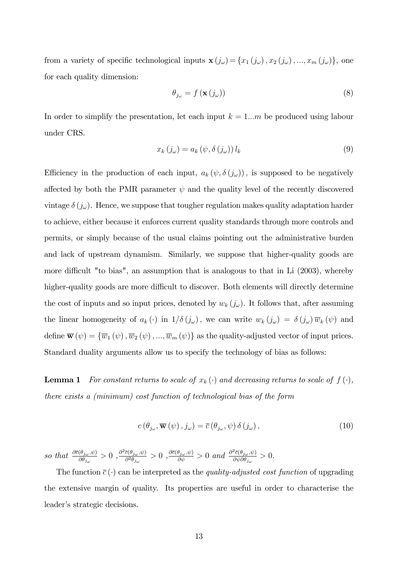from a variety of specific technological inputs  $\mathbf{x}$   $(j_\omega) = \{x_1(j_\omega), x_2(j_\omega), ..., x_m(j_\omega)\}\)$ , one for each quality dimension:

$$
\theta_{j_{\omega}} = f\left(\mathbf{x}\left(j_{\omega}\right)\right) \tag{8}
$$

In order to simplify the presentation, let each input  $k = 1...m$  be produced using labour under CRS.

$$
x_k(j_\omega) = a_k(\psi, \delta(j_\omega)) l_k \tag{9}
$$

Efficiency in the production of each input,  $a_k (\psi, \delta (j_\omega))$ , is supposed to be negatively affected by both the PMR parameter  $\psi$  and the quality level of the recently discovered vintage  $\delta(j_\omega)$ . Hence, we suppose that tougher regulation makes quality adaptation harder to achieve, either because it enforces current quality standards through more controls and permits, or simply because of the usual claims pointing out the administrative burden and lack of upstream dynamism. Similarly, we suppose that higher-quality goods are more difficult "to bias", an assumption that is analogous to that in Li  $(2003)$ , whereby higher-quality goods are more difficult to discover. Both elements will directly determine the cost of inputs and so input prices, denoted by  $w_k(j_\omega)$ . It follows that, after assuming the linear homogeneity of  $a_k(\cdot)$  in  $1/\delta(j_\omega)$ , we can write  $w_k(j_\omega) = \delta(j_\omega) \overline{w}_k (\psi)$  and define  $\overline{\mathbf{w}}(\psi) = {\overline{w}_1(\psi), \overline{w}_2(\psi), ..., \overline{w}_m(\psi)}$  as the quality-adjusted vector of input prices. Standard duality arguments allow us to specify the technology of bias as follows:

**Lemma 1** For constant returns to scale of  $x_k(\cdot)$  and decreasing returns to scale of  $f(\cdot)$ , there exists a (minimum) cost function of technological bias of the form

$$
c(\theta_{j\omega}, \overline{\mathbf{w}}(\psi), j\omega) = \overline{c}(\theta_{j\omega}, \psi) \,\delta(j\omega), \tag{10}
$$

so that  $\frac{\partial \bar{c}(\theta_{j_{\omega}}, \psi)}{\partial \theta_{j_{\omega}}} > 0$ ,  $\frac{\partial^2 \bar{c}(\theta_{j_{\omega}}, \psi)}{\partial^2 \theta_{j_{\omega}}}$  $\frac{\bar{c}(\theta_{j_{\omega}}, \psi)}{\partial^2 \theta_{j_{\omega}}} > 0$ ,  $\frac{\partial \bar{c}(\theta_{j_{\omega}}, \psi)}{\partial \psi} > 0$  and  $\frac{\partial^2 \bar{c}(\theta_{j_{\omega}}, \psi)}{\partial \psi \partial \theta_{j_{\omega}}}$  $\frac{\partial c(\sigma_{j_{\omega}},\varphi)}{\partial \psi \partial \theta_{j_{\omega}}} > 0.$ 

The function  $\bar{c}(\cdot)$  can be interpreted as the *quality-adjusted cost function* of upgrading the extensive margin of quality. Its properties are useful in order to characterise the leader's strategic decisions.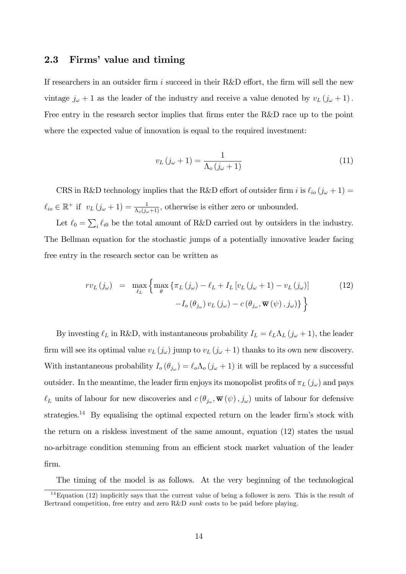# 2.3 Firms' value and timing

If researchers in an outsider firm i succeed in their R&D effort, the firm will sell the new vintage  $j_{\omega} + 1$  as the leader of the industry and receive a value denoted by  $v_L (j_{\omega} + 1)$ . Free entry in the research sector implies that firms enter the R&D race up to the point where the expected value of innovation is equal to the required investment:

$$
v_L(j_\omega + 1) = \frac{1}{\Lambda_o(j_\omega + 1)}\tag{11}
$$

CRS in R&D technology implies that the R&D effort of outsider firm i is  $\ell_{io} (j_\omega + 1) =$  $\ell_{io} \in \mathbb{R}^+$  if  $v_L (j_\omega + 1) = \frac{1}{\Lambda_o (j_\omega + 1)}$ , otherwise is either zero or unbounded.

Let  $\ell_0 = \sum_i \ell_{i0}$  be the total amount of R&D carried out by outsiders in the industry. The Bellman equation for the stochastic jumps of a potentially innovative leader facing free entry in the research sector can be written as

$$
rv_{L}(j_{\omega}) = \max_{\ell_{L}} \left\{ \max_{\theta} \left\{ \pi_{L}(j_{\omega}) - \ell_{L} + I_{L} \left[ v_{L}(j_{\omega} + 1) - v_{L}(j_{\omega}) \right] - I_{o}(\theta_{j_{\omega}}) v_{L}(j_{\omega}) - c(\theta_{j_{\omega}}, \overline{\mathbf{w}}(\psi), j_{\omega}) \right\} \right\}
$$
(12)

By investing  $\ell_L$  in R&D, with instantaneous probability  $I_L = \ell_L \Lambda_L (j_\omega + 1)$ , the leader firm will see its optimal value  $v_L(j_\omega)$  jump to  $v_L(j_\omega+1)$  thanks to its own new discovery. With instantaneous probability  $I_o(\theta_{j_\omega}) = \ell_o \Lambda_o(j_\omega + 1)$  it will be replaced by a successful outsider. In the meantime, the leader firm enjoys its monopolist profits of  $\pi_L(j_\omega)$  and pays  $\ell_L$  units of labour for new discoveries and  $c(\theta_{j_\omega}, \overline{\mathbf{w}}(\psi), j_\omega)$  units of labour for defensive strategies.<sup>14</sup> By equalising the optimal expected return on the leader firm's stock with the return on a riskless investment of the same amount, equation (12) states the usual no-arbitrage condition stemming from an efficient stock market valuation of the leader Örm.

The timing of the model is as follows. At the very beginning of the technological

<sup>&</sup>lt;sup>14</sup>Equation (12) implicitly says that the current value of being a follower is zero. This is the result of Bertrand competition, free entry and zero R&D sunk costs to be paid before playing.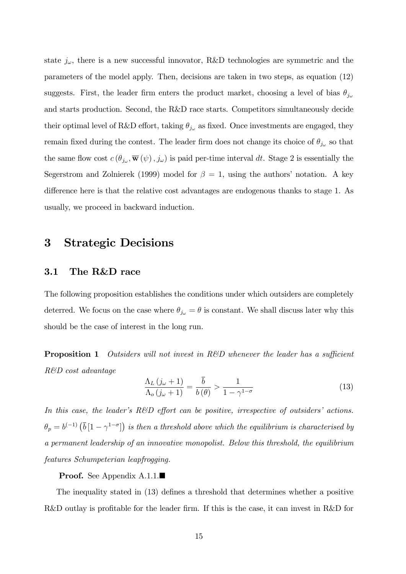state  $j_{\omega}$ , there is a new successful innovator, R&D technologies are symmetric and the parameters of the model apply. Then, decisions are taken in two steps, as equation (12) suggests. First, the leader firm enters the product market, choosing a level of bias  $\theta_{j_{\omega}}$ and starts production. Second, the R&D race starts. Competitors simultaneously decide their optimal level of R&D effort, taking  $\theta_{j_{\omega}}$  as fixed. Once investments are engaged, they remain fixed during the contest. The leader firm does not change its choice of  $\theta_{j_{\omega}}$  so that the same flow cost  $c(\theta_{j_\omega}, \overline{\mathbf{w}}(\psi), j_\omega)$  is paid per-time interval dt. Stage 2 is essentially the Segerstrom and Zolnierek (1999) model for  $\beta = 1$ , using the authors' notation. A key difference here is that the relative cost advantages are endogenous thanks to stage 1. As usually, we proceed in backward induction.

# 3 Strategic Decisions

### 3.1 The R&D race

The following proposition establishes the conditions under which outsiders are completely deterred. We focus on the case where  $\theta_{j_{\omega}} = \theta$  is constant. We shall discuss later why this should be the case of interest in the long run.

**Proposition 1** Outsiders will not invest in R&D whenever the leader has a sufficient R&D cost advantage

$$
\frac{\Lambda_L (j_\omega + 1)}{\Lambda_o (j_\omega + 1)} = \frac{\overline{b}}{b(\theta)} > \frac{1}{1 - \gamma^{1 - \sigma}}
$$
\n(13)

In this case, the leader's  $R\&D$  effort can be positive, irrespective of outsiders' actions.  $\theta_p = b^{(-1)} \left( \overline{b} \left[ 1 - \gamma^{1-\sigma} \right] \right)$  is then a threshold above which the equilibrium is characterised by a permanent leadership of an innovative monopolist. Below this threshold, the equilibrium features Schumpeterian leapfrogging.

**Proof.** See Appendix A.1.1.■

The inequality stated in  $(13)$  defines a threshold that determines whether a positive R&D outlay is profitable for the leader firm. If this is the case, it can invest in  $R\&D$  for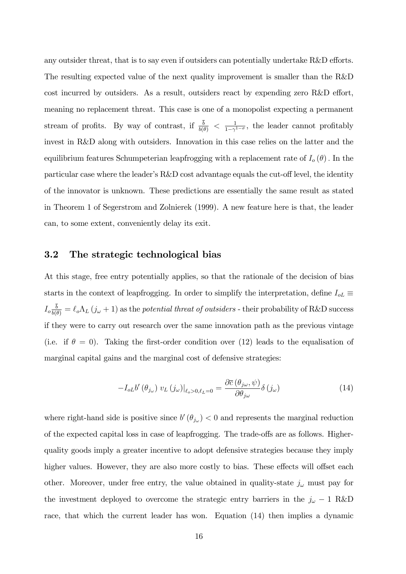any outsider threat, that is to say even if outsiders can potentially undertake  $R\&D$  efforts. The resulting expected value of the next quality improvement is smaller than the R&D cost incurred by outsiders. As a result, outsiders react by expending zero  $R&D$  effort, meaning no replacement threat. This case is one of a monopolist expecting a permanent stream of profits. By way of contrast, if  $\frac{b}{b(\theta)} < \frac{1}{1-\gamma}$  $\frac{1}{1-\gamma^{1-\sigma}}$ , the leader cannot profitably invest in R&D along with outsiders. Innovation in this case relies on the latter and the equilibrium features Schumpeterian leapfrogging with a replacement rate of  $I_o(\theta)$ . In the particular case where the leader's  $R&D$  cost advantage equals the cut-off level, the identity of the innovator is unknown. These predictions are essentially the same result as stated in Theorem 1 of Segerstrom and Zolnierek (1999). A new feature here is that, the leader can, to some extent, conveniently delay its exit.

# 3.2 The strategic technological bias

At this stage, free entry potentially applies, so that the rationale of the decision of bias starts in the context of leapfrogging. In order to simplify the interpretation, define  $I_{oL}\equiv$  $I_o \frac{b}{b(\theta)} = \ell_o \Lambda_L (j_\omega + 1)$  as the potential threat of outsiders - their probability of R&D success if they were to carry out research over the same innovation path as the previous vintage (i.e. if  $\theta = 0$ ). Taking the first-order condition over (12) leads to the equalisation of marginal capital gains and the marginal cost of defensive strategies:

$$
-I_{oL}b'(\theta_{j\omega})v_L(j\omega)|_{\ell_o>0,\ell_L=0} = \frac{\partial \bar{c}(\theta_{j\omega},\psi)}{\partial \theta_{j\omega}}\delta(j\omega)
$$
(14)

where right-hand side is positive since  $b'(\theta_{j\omega}) < 0$  and represents the marginal reduction of the expected capital loss in case of leapfrogging. The trade-offs are as follows. Higherquality goods imply a greater incentive to adopt defensive strategies because they imply higher values. However, they are also more costly to bias. These effects will offset each other. Moreover, under free entry, the value obtained in quality-state  $j_{\omega}$  must pay for the investment deployed to overcome the strategic entry barriers in the  $j_{\omega} - 1$  R&D race, that which the current leader has won. Equation (14) then implies a dynamic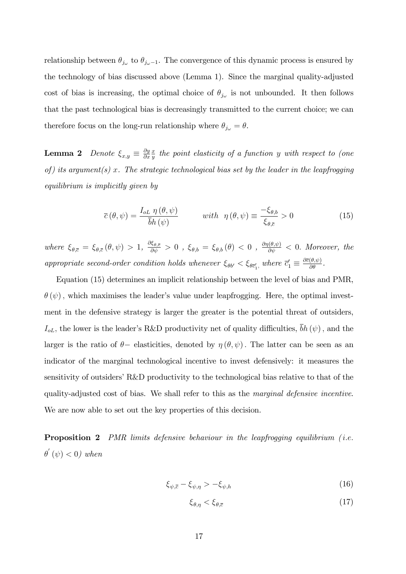relationship between  $\theta_{j_{\omega}}$  to  $\theta_{j_{\omega}-1}$ . The convergence of this dynamic process is ensured by the technology of bias discussed above (Lemma 1). Since the marginal quality-adjusted cost of bias is increasing, the optimal choice of  $\theta_{j_{\omega}}$  is not unbounded. It then follows that the past technological bias is decreasingly transmitted to the current choice; we can therefore focus on the long-run relationship where  $\theta_{j_{\omega}} = \theta$ .

**Lemma 2** Denote  $\xi_{x,y} \equiv \frac{\partial y}{\partial x}$  $\partial x$  $\overline{x}$  $\frac{x}{y}$  the point elasticity of a function y with respect to (one of) its argument(s) x. The strategic technological bias set by the leader in the leapfrogging equilibrium is implicitly given by

$$
\overline{c}(\theta,\psi) = \frac{I_{oL} \eta(\theta,\psi)}{\overline{b}h(\psi)} \qquad \text{with} \ \eta(\theta,\psi) \equiv \frac{-\xi_{\theta,b}}{\xi_{\theta,\overline{c}}} > 0 \tag{15}
$$

where  $\xi_{\theta,\bar{c}} = \xi_{\theta,\bar{c}}(\theta,\psi) > 1$ ,  $\frac{\partial \xi_{\theta,\bar{c}}}{\partial \psi} > 0$ ,  $\xi_{\theta,b} = \xi_{\theta,b}(\theta) < 0$ ,  $\frac{\partial \eta(\theta,\psi)}{\partial \psi} < 0$ . Moreover, the appropriate second-order condition holds whenever  $\xi_{\theta b'} < \xi_{\theta \vec{c}'_1}$ , where  $\vec{c}'_1 \equiv \frac{\partial \vec{c}(\theta, \psi)}{\partial \theta}$ .

Equation (15) determines an implicit relationship between the level of bias and PMR,  $\theta(\psi)$ , which maximises the leader's value under leapfrogging. Here, the optimal investment in the defensive strategy is larger the greater is the potential threat of outsiders,  $I_{oL}$ , the lower is the leader's R&D productivity net of quality difficulties,  $\bar{b}h(\psi)$ , and the larger is the ratio of  $\theta$ - elasticities, denoted by  $\eta(\theta, \psi)$ . The latter can be seen as an indicator of the marginal technological incentive to invest defensively: it measures the sensitivity of outsiders' R&D productivity to the technological bias relative to that of the quality-adjusted cost of bias. We shall refer to this as the marginal defensive incentive. We are now able to set out the key properties of this decision.

**Proposition 2** PMR limits defensive behaviour in the leapfrogging equilibrium (*i.e.*  $\theta^{'}\left(\psi\right) < 0$ ) when

$$
\xi_{\psi,\bar{c}} - \xi_{\psi,\eta} > -\xi_{\psi,h} \tag{16}
$$

$$
\xi_{\theta,\eta} < \xi_{\theta,\bar{c}} \tag{17}
$$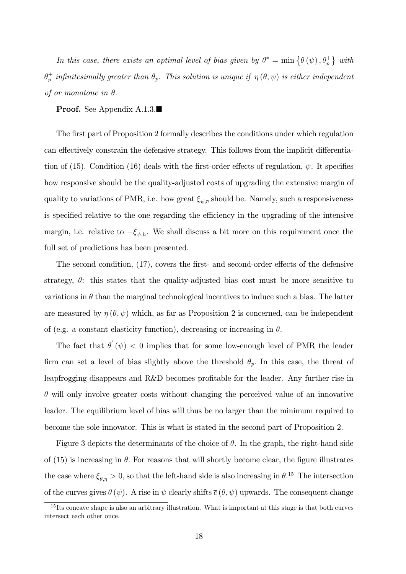In this case, there exists an optimal level of bias given by  $\theta^* = \min \{ \theta(\psi), \theta_p^* \}$  with  $\theta_p^+$  $p^+_p$  infinitesimally greater than  $\theta_p$ . This solution is unique if  $\eta(\theta,\psi)$  is either independent of or monotone in  $\theta$ .

### Proof. See Appendix A.1.3.■

The first part of Proposition 2 formally describes the conditions under which regulation can effectively constrain the defensive strategy. This follows from the implicit differentiation of (15). Condition (16) deals with the first-order effects of regulation,  $\psi$ . It specifies how responsive should be the quality-adjusted costs of upgrading the extensive margin of quality to variations of PMR, i.e. how great  $\xi_{\psi,\bar{c}}$  should be. Namely, such a responsiveness is specified relative to the one regarding the efficiency in the upgrading of the intensive margin, i.e. relative to  $-\xi_{\psi,h}$ . We shall discuss a bit more on this requirement once the full set of predictions has been presented.

The second condition,  $(17)$ , covers the first- and second-order effects of the defensive strategy,  $\theta$ : this states that the quality-adjusted bias cost must be more sensitive to variations in  $\theta$  than the marginal technological incentives to induce such a bias. The latter are measured by  $\eta(\theta, \psi)$  which, as far as Proposition 2 is concerned, can be independent of (e.g. a constant elasticity function), decreasing or increasing in  $\theta$ .

The fact that  $\theta'(\psi) < 0$  implies that for some low-enough level of PMR the leader firm can set a level of bias slightly above the threshold  $\theta_p$ . In this case, the threat of leapfrogging disappears and R&D becomes profitable for the leader. Any further rise in  $\theta$  will only involve greater costs without changing the perceived value of an innovative leader. The equilibrium level of bias will thus be no larger than the minimum required to become the sole innovator. This is what is stated in the second part of Proposition 2.

Figure 3 depicts the determinants of the choice of  $\theta$ . In the graph, the right-hand side of  $(15)$  is increasing in  $\theta$ . For reasons that will shortly become clear, the figure illustrates the case where  $\xi_{\theta,\eta} > 0$ , so that the left-hand side is also increasing in  $\theta$ .<sup>15</sup> The intersection of the curves gives  $\theta (\psi)$ . A rise in  $\psi$  clearly shifts  $\bar{c} (\theta, \psi)$  upwards. The consequent change

<sup>&</sup>lt;sup>15</sup> Its concave shape is also an arbitrary illustration. What is important at this stage is that both curves intersect each other once.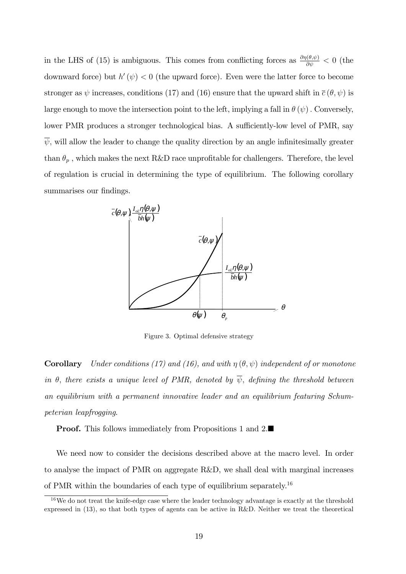in the LHS of (15) is ambiguous. This comes from conflicting forces as  $\frac{\partial \eta(\theta,\psi)}{\partial \psi} < 0$  (the downward force) but  $h'(\psi) < 0$  (the upward force). Even were the latter force to become stronger as  $\psi$  increases, conditions (17) and (16) ensure that the upward shift in  $\bar{c}(\theta, \psi)$  is large enough to move the intersection point to the left, implying a fall in  $\theta(\psi)$ . Conversely, lower PMR produces a stronger technological bias. A sufficiently-low level of PMR, say  $\overline{\psi}$ , will allow the leader to change the quality direction by an angle infinitesimally greater than  $\theta_p$  , which makes the next R&D race unprofitable for challengers. Therefore, the level of regulation is crucial in determining the type of equilibrium. The following corollary summarises our findings.



Figure 3. Optimal defensive strategy

**Corollary** Under conditions (17) and (16), and with  $\eta(\theta, \psi)$  independent of or monotone in  $\theta$ , there exists a unique level of PMR, denoted by  $\overline{\psi}$ , defining the threshold between an equilibrium with a permanent innovative leader and an equilibrium featuring Schumpeterian leapfrogging.

**Proof.** This follows immediately from Propositions 1 and 2.

We need now to consider the decisions described above at the macro level. In order to analyse the impact of PMR on aggregate R&D, we shall deal with marginal increases of PMR within the boundaries of each type of equilibrium separately.<sup>16</sup>

 $16$ We do not treat the knife-edge case where the leader technology advantage is exactly at the threshold expressed in (13), so that both types of agents can be active in R&D. Neither we treat the theoretical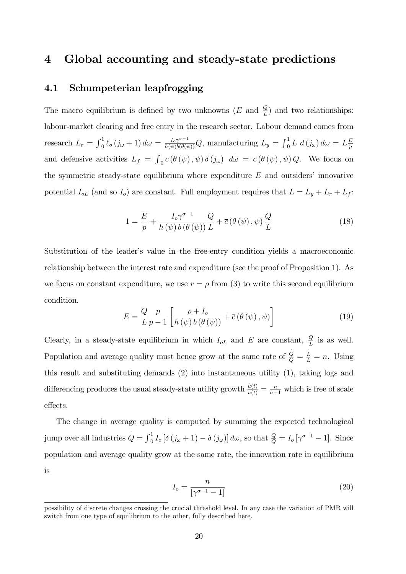# 4 Global accounting and steady-state predictions

# 4.1 Schumpeterian leapfrogging

The macro equilibrium is defined by two unknowns  $(E \text{ and } \frac{Q}{L})$  and two relationships: labour-market clearing and free entry in the research sector. Labour demand comes from research  $L_r = \int_0^1 \ell_o(j_\omega + 1) d\omega = \frac{I_o \gamma^{\sigma-1}}{h(\psi)b(\theta(\psi))} Q$ , manufacturing  $L_y = \int_0^1 L d(j_\omega) d\omega = L \frac{E}{p}$ p and defensive activities  $L_f = \int_0^1 \overline{c} (\theta (\psi), \psi) \delta (j_\omega) d\omega = \overline{c} (\theta (\psi), \psi) Q$ . We focus on the symmetric steady-state equilibrium where expenditure  $E$  and outsiders' innovative potential  $I_{oL}$  (and so  $I_o$ ) are constant. Full employment requires that  $L = L_y + L_r + L_f$ :

$$
1 = \frac{E}{p} + \frac{I_o \gamma^{\sigma - 1}}{h(\psi) b(\theta(\psi))} \frac{Q}{L} + \bar{c}(\theta(\psi), \psi) \frac{Q}{L}
$$
 (18)

Substitution of the leader's value in the free-entry condition yields a macroeconomic relationship between the interest rate and expenditure (see the proof of Proposition 1). As we focus on constant expenditure, we use  $r = \rho$  from (3) to write this second equilibrium condition:

$$
E = \frac{Q}{L} \frac{p}{p-1} \left[ \frac{\rho + I_o}{h(\psi) b(\theta(\psi))} + \overline{c}(\theta(\psi), \psi) \right]
$$
(19)

Clearly, in a steady-state equilibrium in which  $I_{oL}$  and E are constant,  $\frac{Q}{L}$  is as well. Population and average quality must hence grow at the same rate of  $\frac{\dot{Q}}{Q} = \frac{\dot{L}}{L} = n$ . Using this result and substituting demands (2) into instantaneous utility (1), taking logs and differencing produces the usual steady-state utility growth  $\frac{\dot{u}(t)}{u(t)} = \frac{n}{\sigma - 1}$  which is free of scale effects.

The change in average quality is computed by summing the expected technological jump over all industries  $Q = \int_0^1 I_o [\delta(j_\omega + 1) - \delta(j_\omega)] d\omega$ , so that  $\frac{Q}{Q} = I_o [\gamma^{\sigma-1} - 1]$ . Since population and average quality grow at the same rate, the innovation rate in equilibrium is

$$
I_o = \frac{n}{\left[\gamma^{\sigma - 1} - 1\right]} \tag{20}
$$

possibility of discrete changes crossing the crucial threshold level. In any case the variation of PMR will switch from one type of equilibrium to the other, fully described here.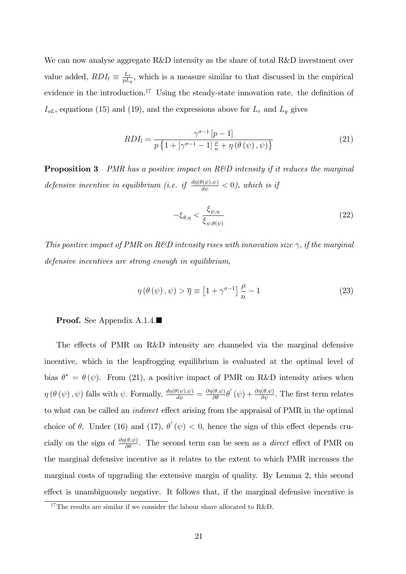We can now analyse aggregate R&D intensity as the share of total R&D investment over value added,  $RDI_l \equiv \frac{L_r}{pL_l}$  $\frac{L_r}{pL_y}$ , which is a measure similar to that discussed in the empirical evidence in the introduction.<sup>17</sup> Using the steady-state innovation rate, the definition of  $I_{oL}$ , equations (15) and (19), and the expressions above for  $L_r$  and  $L_y$  gives

$$
RDI_{l} = \frac{\gamma^{\sigma-1} \left[ p-1 \right]}{p \left\{ 1 + \left[ \gamma^{\sigma-1} - 1 \right] \frac{\rho}{n} + \eta \left( \theta \left( \psi \right), \psi \right) \right\}} \tag{21}
$$

**Proposition 3** PMR has a positive impact on R&D intensity if it reduces the marginal defensive incentive in equilibrium (i.e. if  $\frac{d\eta(\theta(\psi), \psi)}{d\psi} < 0$ ), which is if

$$
-\xi_{\theta,\eta} < \frac{\xi_{\psi,\eta}}{\xi_{\psi,\theta(\psi)}}\tag{22}
$$

This positive impact of PMR on R&D intensity rises with innovation size  $\gamma$ , if the marginal defensive incentives are strong enough in equilibrium,

$$
\eta\left(\theta\left(\psi\right),\psi\right) > \overline{\eta} \equiv \left[1 + \gamma^{\sigma-1}\right] \frac{\rho}{n} - 1 \tag{23}
$$

Proof. See Appendix A.1.4.■

The effects of PMR on  $R\&D$  intensity are channeled via the marginal defensive incentive, which in the leapfrogging equilibrium is evaluated at the optimal level of bias  $\theta^* = \theta(\psi)$ . From (21), a positive impact of PMR on R&D intensity arises when  $\eta(\theta(\psi), \psi)$  falls with  $\psi$ . Formally,  $\frac{d\eta(\theta(\psi), \psi)}{d\psi} = \frac{\partial \eta(\theta, \psi)}{\partial \theta} \theta'(\psi) + \frac{\partial \eta(\theta, \psi)}{\partial \psi}$ . The first term relates to what can be called an *indirect* effect arising from the appraisal of PMR in the optimal choice of  $\theta$ . Under (16) and (17),  $\theta'(\psi) < 0$ , hence the sign of this effect depends crucially on the sign of  $\frac{\partial \eta(\theta,\psi)}{\partial \theta}$ . The second term can be seen as a *direct* effect of PMR on the marginal defensive incentive as it relates to the extent to which PMR increases the marginal costs of upgrading the extensive margin of quality. By Lemma 2, this second effect is unambiguously negative. It follows that, if the marginal defensive incentive is

<sup>&</sup>lt;sup>17</sup>The results are similar if we consider the labour share allocated to R&D.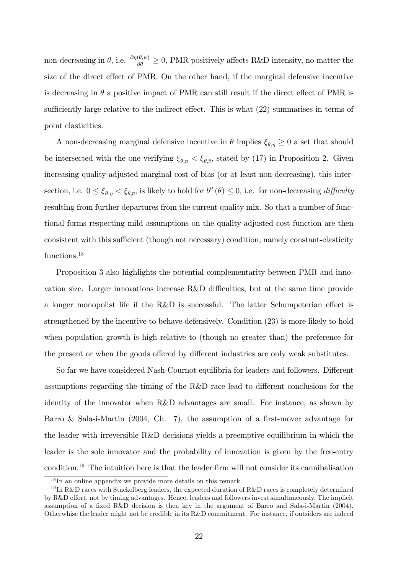non-decreasing in  $\theta$ , i.e.  $\frac{\partial \eta(\theta,\psi)}{\partial \theta} \ge 0$ , PMR positively affects R&D intensity, no matter the size of the direct effect of PMR. On the other hand, if the marginal defensive incentive is decreasing in  $\theta$  a positive impact of PMR can still result if the direct effect of PMR is sufficiently large relative to the indirect effect. This is what  $(22)$  summarises in terms of point elasticities.

A non-decreasing marginal defensive incentive in  $\theta$  implies  $\xi_{\theta,\eta} \geq 0$  a set that should be intersected with the one verifying  $\xi_{\theta,\eta} < \xi_{\theta,\bar{c}}$ , stated by (17) in Proposition 2. Given increasing quality-adjusted marginal cost of bias (or at least non-decreasing), this intersection, i.e.  $0 \leq \xi_{\theta,\eta} < \xi_{\theta,\bar{c}}$ , is likely to hold for  $b''(\theta) \leq 0$ , i.e. for non-decreasing difficulty resulting from further departures from the current quality mix. So that a number of functional forms respecting mild assumptions on the quality-adjusted cost function are then consistent with this sufficient (though not necessary) condition, namely constant-elasticity functions.<sup>18</sup>

Proposition 3 also highlights the potential complementarity between PMR and innovation size. Larger innovations increase  $R\&D$  difficulties, but at the same time provide a longer monopolist life if the R&D is successful. The latter Schumpeterian effect is strengthened by the incentive to behave defensively. Condition (23) is more likely to hold when population growth is high relative to (though no greater than) the preference for the present or when the goods offered by different industries are only weak substitutes.

So far we have considered Nash-Cournot equilibria for leaders and followers. Different assumptions regarding the timing of the R&D race lead to different conclusions for the identity of the innovator when R&D advantages are small. For instance, as shown by Barro & Sala-i-Martin  $(2004, Ch. 7)$ , the assumption of a first-mover advantage for the leader with irreversible R&D decisions yields a preemptive equilibrium in which the leader is the sole innovator and the probability of innovation is given by the free-entry condition.<sup>19</sup> The intuition here is that the leader firm will not consider its cannibalisation

<sup>18</sup> In an online appendix we provide more details on this remark.

<sup>&</sup>lt;sup>19</sup> In R&D races with Stackelberg leaders, the expected duration of R&D races is completely determined by R&D effort, not by timing advantages. Hence, leaders and followers invest simultaneously. The implicit assumption of a fixed R&D decision is then key in the argument of Barro and Sala-i-Martin (2004). Otherwhise the leader might not be credible in its R&D commitment. For instance, if outsiders are indeed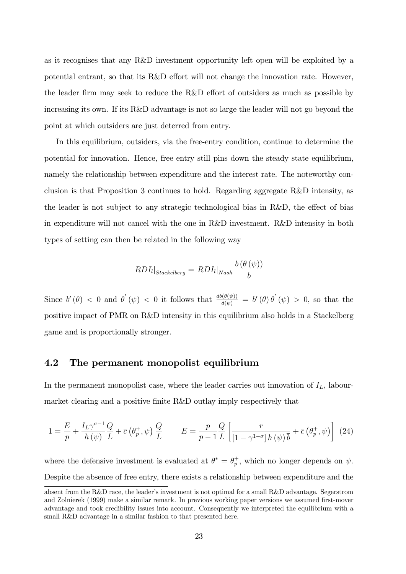as it recognises that any R&D investment opportunity left open will be exploited by a potential entrant, so that its  $R&D$  effort will not change the innovation rate. However, the leader firm may seek to reduce the R&D effort of outsiders as much as possible by increasing its own. If its R&D advantage is not so large the leader will not go beyond the point at which outsiders are just deterred from entry.

In this equilibrium, outsiders, via the free-entry condition, continue to determine the potential for innovation. Hence, free entry still pins down the steady state equilibrium, namely the relationship between expenditure and the interest rate. The noteworthy conclusion is that Proposition 3 continues to hold. Regarding aggregate R&D intensity, as the leader is not subject to any strategic technological bias in R&D, the effect of bias in expenditure will not cancel with the one in R&D investment. R&D intensity in both types of setting can then be related in the following way

$$
RDI_{l}|_{Stackelberg} = \left. RDI_{l}|_{Nash} \right. \frac{b\left( \theta\left(\psi\right)\right)}{\overline{b}}
$$

Since  $b'(\theta) < 0$  and  $\theta'(\psi) < 0$  it follows that  $\frac{db(\theta(\psi))}{d(\psi)} = b'(\theta) \theta'(\psi) > 0$ , so that the positive impact of PMR on R&D intensity in this equilibrium also holds in a Stackelberg game and is proportionally stronger.

# 4.2 The permanent monopolist equilibrium

In the permanent monopolist case, where the leader carries out innovation of  $I_L$ , labourmarket clearing and a positive finite R&D outlay imply respectively that

$$
1 = \frac{E}{p} + \frac{I_L \gamma^{\sigma - 1}}{h(\psi)} \frac{Q}{L} + \overline{c} \left( \theta_p^+, \psi \right) \frac{Q}{L} \qquad E = \frac{p}{p - 1} \frac{Q}{L} \left[ \frac{r}{\left[ 1 - \gamma^{1 - \sigma} \right] h(\psi) \overline{b}} + \overline{c} \left( \theta_p^+, \psi \right) \right] (24)
$$

where the defensive investment is evaluated at  $\theta^* = \theta_n^+$  $_p^+$ , which no longer depends on  $\psi$ . Despite the absence of free entry, there exists a relationship between expenditure and the

absent from the R&D race, the leader's investment is not optimal for a small R&D advantage. Segerstrom and Zolnierek (1999) make a similar remark. In previous working paper versions we assumed first-mover advantage and took credibility issues into account. Consequently we interpreted the equilibrium with a small R&D advantage in a similar fashion to that presented here.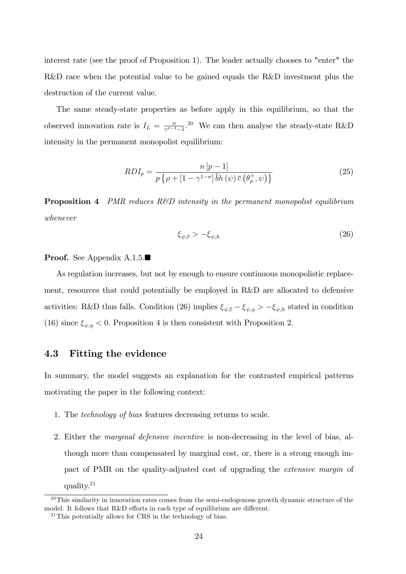interest rate (see the proof of Proposition 1). The leader actually chooses to "enter" the R&D race when the potential value to be gained equals the R&D investment plus the destruction of the current value.

The same steady-state properties as before apply in this equilibrium, so that the observed innovation rate is  $I_L = \frac{n}{\gamma^{\sigma-1}}$  $\frac{n}{\gamma^{\sigma-1}-1}$ .<sup>20</sup> We can then analyse the steady-state R&D intensity in the permanent monopolist equilibrium:

$$
RDI_p = \frac{n\left[p-1\right]}{p\left\{\rho + \left[1 - \gamma^{1-\sigma}\right]\bar{b}h\left(\psi\right)\bar{c}\left(\theta_p^+, \psi\right)\right\}}\tag{25}
$$

**Proposition 4** PMR reduces R&D intensity in the permanent monopolist equilibrium whenever

$$
\xi_{\psi,\bar{c}} > -\xi_{\psi,h} \tag{26}
$$

#### **Proof.** See Appendix A.1.5.

As regulation increases, but not by enough to ensure continuous monopolistic replacement, resources that could potentially be employed in R&D are allocated to defensive activities: R&D thus falls. Condition (26) implies  $\xi_{\psi,\bar{c}} - \xi_{\psi,\eta} > -\xi_{\psi,h}$  stated in condition (16) since  $\xi_{\psi,\eta} < 0$ . Proposition 4 is then consistent with Proposition 2.

# 4.3 Fitting the evidence

In summary, the model suggests an explanation for the contrasted empirical patterns motivating the paper in the following context:

- 1. The technology of bias features decreasing returns to scale.
- 2. Either the marginal defensive incentive is non-decreasing in the level of bias, although more than compensated by marginal cost, or, there is a strong enough impact of PMR on the quality-adjusted cost of upgrading the extensive margin of quality.<sup>21</sup>

 $20$ This similarity in innovation rates comes from the semi-endogenous growth dynamic structure of the model. It follows that  $R&D$  efforts in each type of equilibrium are different.

<sup>&</sup>lt;sup>21</sup>This potentially allows for CRS in the technology of bias.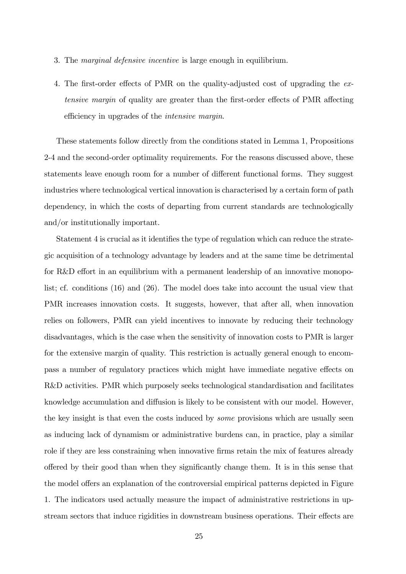- 3. The marginal defensive incentive is large enough in equilibrium.
- 4. The first-order effects of PMR on the quality-adjusted cost of upgrading the  $ex$ tensive margin of quality are greater than the first-order effects of PMR affecting efficiency in upgrades of the *intensive margin*.

These statements follow directly from the conditions stated in Lemma 1, Propositions 2-4 and the second-order optimality requirements. For the reasons discussed above, these statements leave enough room for a number of different functional forms. They suggest industries where technological vertical innovation is characterised by a certain form of path dependency, in which the costs of departing from current standards are technologically and/or institutionally important.

Statement 4 is crucial as it identifies the type of regulation which can reduce the strategic acquisition of a technology advantage by leaders and at the same time be detrimental for R&D effort in an equilibrium with a permanent leadership of an innovative monopolist; cf. conditions (16) and (26). The model does take into account the usual view that PMR increases innovation costs. It suggests, however, that after all, when innovation relies on followers, PMR can yield incentives to innovate by reducing their technology disadvantages, which is the case when the sensitivity of innovation costs to PMR is larger for the extensive margin of quality. This restriction is actually general enough to encompass a number of regulatory practices which might have immediate negative effects on R&D activities. PMR which purposely seeks technological standardisation and facilitates knowledge accumulation and diffusion is likely to be consistent with our model. However, the key insight is that even the costs induced by *some* provisions which are usually seen as inducing lack of dynamism or administrative burdens can, in practice, play a similar role if they are less constraining when innovative Örms retain the mix of features already o§ered by their good than when they signiÖcantly change them. It is in this sense that the model offers an explanation of the controversial empirical patterns depicted in Figure 1. The indicators used actually measure the impact of administrative restrictions in upstream sectors that induce rigidities in downstream business operations. Their effects are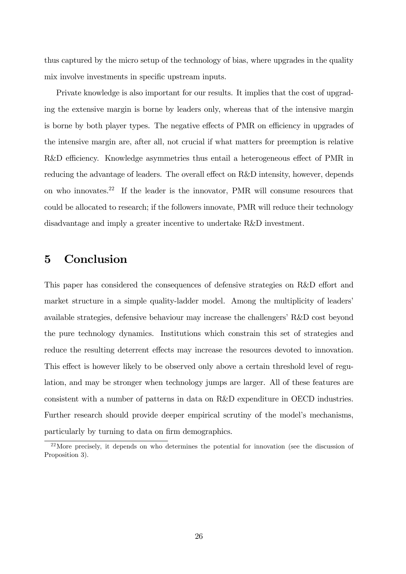thus captured by the micro setup of the technology of bias, where upgrades in the quality mix involve investments in specific upstream inputs.

Private knowledge is also important for our results. It implies that the cost of upgrading the extensive margin is borne by leaders only, whereas that of the intensive margin is borne by both player types. The negative effects of PMR on efficiency in upgrades of the intensive margin are, after all, not crucial if what matters for preemption is relative R&D efficiency. Knowledge asymmetries thus entail a heterogeneous effect of PMR in reducing the advantage of leaders. The overall effect on R&D intensity, however, depends on who innovates.<sup>22</sup> If the leader is the innovator. PMR will consume resources that could be allocated to research; if the followers innovate, PMR will reduce their technology disadvantage and imply a greater incentive to undertake R&D investment.

# 5 Conclusion

This paper has considered the consequences of defensive strategies on R&D effort and market structure in a simple quality-ladder model. Among the multiplicity of leaders' available strategies, defensive behaviour may increase the challengers'  $R&D$  cost beyond the pure technology dynamics. Institutions which constrain this set of strategies and reduce the resulting deterrent effects may increase the resources devoted to innovation. This effect is however likely to be observed only above a certain threshold level of regulation, and may be stronger when technology jumps are larger. All of these features are consistent with a number of patterns in data on R&D expenditure in OECD industries. Further research should provide deeper empirical scrutiny of the model's mechanisms, particularly by turning to data on firm demographics.

<sup>&</sup>lt;sup>22</sup>More precisely, it depends on who determines the potential for innovation (see the discussion of Proposition 3).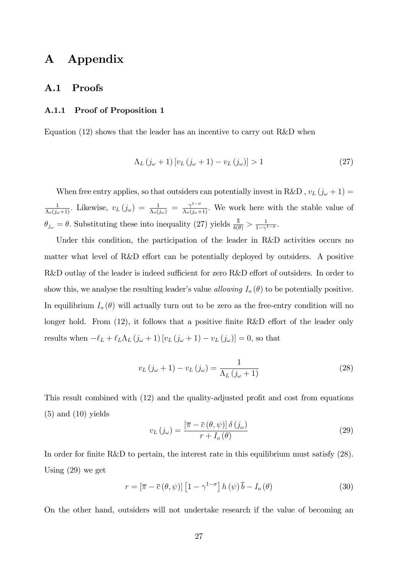# A Appendix

### A.1 Proofs

### A.1.1 Proof of Proposition 1

Equation (12) shows that the leader has an incentive to carry out R&D when

$$
\Lambda_L (j_\omega + 1) \left[ v_L (j_\omega + 1) - v_L (j_\omega) \right] > 1 \tag{27}
$$

When free entry applies, so that outsiders can potentially invest in R&D ,  $v_L \left( j_\omega + 1 \right) =$  $\frac{1}{\Lambda_o(j_\omega+1)}$ . Likewise,  $v_L(j_\omega) = \frac{1}{\Lambda_o(j_\omega)} = \frac{\gamma^{1-\sigma}}{\Lambda_o(j_\omega+1)}$ . We work here with the stable value of  $\theta_{j_{\omega}} = \theta$ . Substituting these into inequality (27) yields  $\frac{b}{b(\theta)} > \frac{1}{1-\gamma}$  $\frac{1}{1-\gamma^{1-\sigma}}$ .

Under this condition, the participation of the leader in R&D activities occurs no matter what level of R&D effort can be potentially deployed by outsiders. A positive R&D outlay of the leader is indeed sufficient for zero R&D effort of outsiders. In order to show this, we analyse the resulting leader's value allowing  $I_o(\theta)$  to be potentially positive. In equilibrium  $I_o(\theta)$  will actually turn out to be zero as the free-entry condition will no longer hold. From  $(12)$ , it follows that a positive finite R&D effort of the leader only results when  $-\ell_L + \ell_L \Lambda_L (j_\omega + 1) [v_L (j_\omega + 1) - v_L (j_\omega)] = 0$ , so that

$$
v_L(j_\omega + 1) - v_L(j_\omega) = \frac{1}{\Lambda_L(j_\omega + 1)}\tag{28}
$$

This result combined with (12) and the quality-adjusted profit and cost from equations  $(5)$  and  $(10)$  yields

$$
v_L(j_\omega) = \frac{\left[\overline{\pi} - \overline{c} \left(\theta, \psi\right)\right] \delta \left(j_\omega\right)}{r + I_o\left(\theta\right)}\tag{29}
$$

In order for finite R&D to pertain, the interest rate in this equilibrium must satisfy (28). Using (29) we get

$$
r = \left[\overline{\pi} - \overline{c} \left(\theta, \psi\right)\right] \left[1 - \gamma^{1-\sigma}\right] h \left(\psi\right) \overline{b} - I_o \left(\theta\right)
$$
 (30)

On the other hand, outsiders will not undertake research if the value of becoming an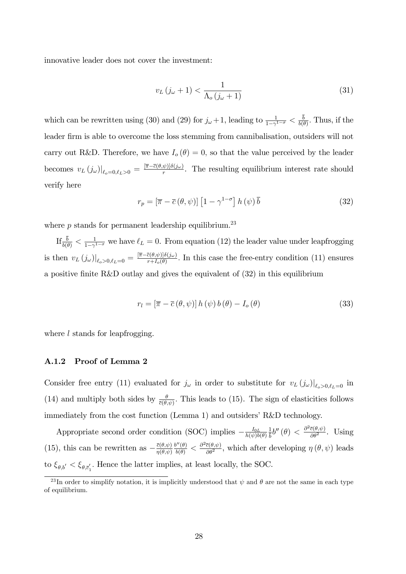innovative leader does not cover the investment:

$$
v_L(j_\omega + 1) < \frac{1}{\Lambda_o(j_\omega + 1)}\tag{31}
$$

which can be rewritten using (30) and (29) for  $j_{\omega}+1$ , leading to  $\frac{1}{1-\gamma^{1-\sigma}} < \frac{b}{b(n)}$  $\frac{b}{b(\theta)}$ . Thus, if the leader Örm is able to overcome the loss stemming from cannibalisation, outsiders will not carry out R&D. Therefore, we have  $I_o(\theta) = 0$ , so that the value perceived by the leader becomes  $v_L(j_\omega)|_{\ell_o=0,\ell_L>0} = \frac{[\overline{\pi}-\overline{c}(\theta,\psi)]\delta(j_\omega)}{r}$ . The resulting equilibrium interest rate should verify here

$$
r_p = \left[\overline{\pi} - \overline{c} \left(\theta, \psi\right)\right] \left[1 - \gamma^{1-\sigma}\right] h \left(\psi\right) \overline{b} \tag{32}
$$

where  $p$  stands for permanent leadership equilibrium.<sup>23</sup>

If  $\frac{b}{b(\theta)} < \frac{1}{1-\gamma^2}$  $\frac{1}{1-\gamma^{1-\sigma}}$  we have  $\ell_L = 0$ . From equation (12) the leader value under leapfrogging is then  $v_L(j_\omega)|_{\ell_o>0,\ell_L=0} = \frac{[\overline{\pi}-\overline{c}(\theta,\psi)]\delta(j_\omega)}{r+I_o(\theta)}$ . In this case the free-entry condition (11) ensures a positive finite R&D outlay and gives the equivalent of  $(32)$  in this equilibrium

$$
r_l = \left[\overline{\pi} - \overline{c} \left(\theta, \psi\right)\right] h \left(\psi\right) b \left(\theta\right) - I_o \left(\theta\right) \tag{33}
$$

where *l* stands for leapfrogging.

### A.1.2 Proof of Lemma 2

Consider free entry (11) evaluated for  $j_\omega$  in order to substitute for  $v_L(j_\omega)|_{\ell_\omega>0,\ell_L=0}$  in (14) and multiply both sides by  $\frac{\theta}{\bar{c}(\theta,\psi)}$ . This leads to (15). The sign of elasticities follows immediately from the cost function (Lemma 1) and outsiders' R&D technology.

Appropriate second order condition (SOC) implies  $-\frac{I_{0L}}{h(\psi)b}$  $h(\psi) b(\theta)$ 1  $\frac{1}{\overline{b}}b''(\theta) < \frac{\partial^2 \overline{c}(\theta,\psi)}{\partial \theta^2}$ . Using (15), this can be rewritten as  $-\frac{\bar{c}(\theta,\psi)}{\eta(\theta,\psi)}$  $\eta(\theta, \psi)$  $\frac{b''(\theta)}{b(\theta)} < \frac{\partial^2 \bar{c}(\theta, \psi)}{\partial \theta^2}$ , which after developing  $\eta(\theta, \psi)$  leads to  $\xi_{\theta, b'} < \xi_{\theta, \vec{c}'_1}$ . Hence the latter implies, at least locally, the SOC.

<sup>&</sup>lt;sup>23</sup>In order to simplify notation, it is implicitly understood that  $\psi$  and  $\theta$  are not the same in each type of equilibrium.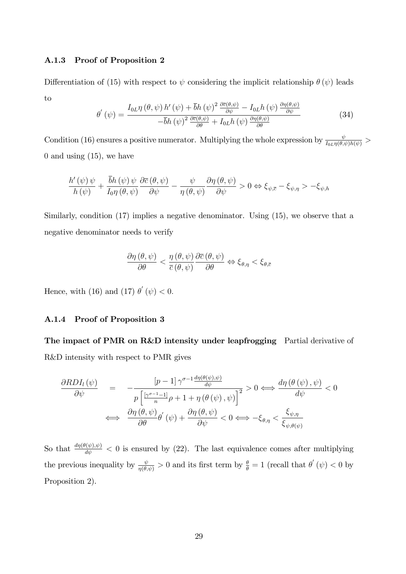### A.1.3 Proof of Proposition 2

Differentiation of (15) with respect to  $\psi$  considering the implicit relationship  $\theta (\psi)$  leads to

$$
\theta^{'}\left(\psi\right) = \frac{I_{0L}\eta\left(\theta,\psi\right)h'\left(\psi\right) + \bar{b}h\left(\psi\right)^{2}\frac{\partial\bar{c}(\theta,\psi)}{\partial\psi} - I_{0L}h\left(\psi\right)\frac{\partial\eta(\theta,\psi)}{\partial\psi}}{-\bar{b}h\left(\psi\right)^{2}\frac{\partial\bar{c}(\theta,\psi)}{\partial\theta} + I_{0L}h\left(\psi\right)\frac{\partial\eta(\theta,\psi)}{\partial\theta}}\tag{34}
$$

Condition (16) ensures a positive numerator. Multiplying the whole expression by  $\frac{\psi}{I_{0L}\eta(\theta,\psi)h(\psi)}$ 0 and using  $(15)$ , we have

$$
\frac{h'\left(\psi\right)\psi}{h\left(\psi\right)} + \frac{bh\left(\psi\right)\psi}{I_0\eta\left(\theta,\psi\right)} \frac{\partial \overline{c}\left(\theta,\psi\right)}{\partial \psi} - \frac{\psi}{\eta\left(\theta,\psi\right)} \frac{\partial \eta\left(\theta,\psi\right)}{\partial \psi} > 0 \Leftrightarrow \xi_{\psi,\overline{c}} - \xi_{\psi,\eta} > -\xi_{\psi,h}
$$

Similarly, condition (17) implies a negative denominator. Using (15), we observe that a negative denominator needs to verify

$$
\frac{\partial \eta\left(\theta,\psi\right)}{\partial\theta}<\frac{\eta\left(\theta,\psi\right)}{\overline{c}\left(\theta,\psi\right)}\frac{\partial\overline{c}\left(\theta,\psi\right)}{\partial\theta}\Leftrightarrow\xi_{\theta,\eta}<\xi_{\theta,\overline{c}}
$$

Hence, with (16) and (17)  $\theta'(\psi) < 0$ .

### A.1.4 Proof of Proposition 3

The impact of PMR on R&D intensity under leapfrogging Partial derivative of R&D intensity with respect to PMR gives

$$
\frac{\partial RDI_{l}(\psi)}{\partial \psi} = -\frac{\left[p-1\right]\gamma^{\sigma-1}\frac{d\eta(\theta(\psi),\psi)}{d\psi}}{p\left[\frac{\left[\gamma^{\sigma-1}-1\right]}{n}\rho+1+\eta\left(\theta\left(\psi\right),\psi\right)\right]^{2}} > 0 \Longleftrightarrow \frac{d\eta(\theta(\psi),\psi)}{d\psi} < 0
$$

$$
\Longleftrightarrow \frac{\partial \eta(\theta,\psi)}{\partial \theta} \theta'(\psi) + \frac{\partial \eta(\theta,\psi)}{\partial \psi} < 0 \Longleftrightarrow -\xi_{\theta,\eta} < \frac{\xi_{\psi,\eta}}{\xi_{\psi,\theta(\psi)}}
$$

So that  $\frac{d\eta(\theta(\psi),\psi)}{d\psi}$  < 0 is ensured by (22). The last equivalence comes after multiplying the previous inequality by  $\frac{\psi}{\eta(\theta,\psi)} > 0$  and its first term by  $\frac{\theta}{\theta} = 1$  (recall that  $\theta'(\psi) < 0$  by Proposition 2).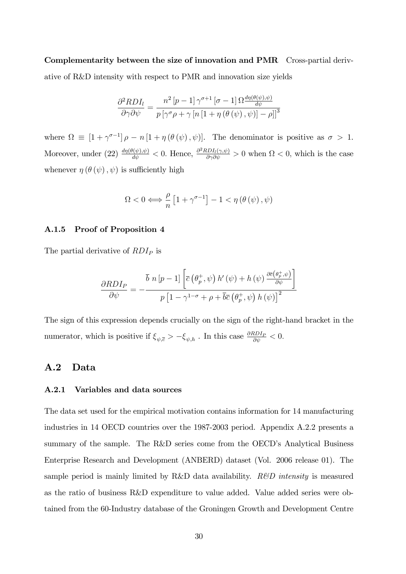Complementarity between the size of innovation and PMR Cross-partial derivative of R&D intensity with respect to PMR and innovation size yields

$$
\frac{\partial^2 RDI_l}{\partial \gamma \partial \psi} = \frac{n^2 \left[ p - 1 \right] \gamma^{\sigma+1} \left[ \sigma - 1 \right] \Omega \frac{d\eta(\theta(\psi), \psi)}{d\psi}}{p \left[ \gamma^{\sigma} \rho + \gamma \left[ n \left[ 1 + \eta \left( \theta \left( \psi \right), \psi \right) \right] - \rho \right] \right]^3}
$$

where  $\Omega \equiv [1 + \gamma^{\sigma-1}] \rho - n [1 + \eta (\theta (\psi), \psi)].$  The denominator is positive as  $\sigma > 1$ . Moreover, under (22)  $\frac{d\eta(\theta(\psi),\psi)}{d\psi} < 0$ . Hence,  $\frac{\partial^2 RDI_l(\gamma,\psi)}{\partial \gamma \partial \psi} > 0$  when  $\Omega < 0$ , which is the case whenever  $\eta(\theta(\psi), \psi)$  is sufficiently high

$$
\Omega < 0 \Longleftrightarrow \frac{\rho}{n} \left[ 1 + \gamma^{\sigma - 1} \right] - 1 < \eta \left( \theta \left( \psi \right), \psi \right)
$$

#### A.1.5 Proof of Proposition 4

The partial derivative of  $RDI<sub>P</sub>$  is

$$
\frac{\partial RDI_{P}}{\partial \psi} = -\frac{\bar{b} n [p-1] \left[ \bar{c} \left( \theta_{p}^{+}, \psi \right) h' \left( \psi \right) + h \left( \psi \right) \frac{\partial \bar{c} \left( \theta_{p}^{+}, \psi \right)}{\partial \psi} \right]}{p \left[ 1 - \gamma^{1-\sigma} + \rho + \overline{b} \overline{c} \left( \theta_{p}^{+}, \psi \right) h \left( \psi \right) \right]^{2}}
$$

The sign of this expression depends crucially on the sign of the right-hand bracket in the numerator, which is positive if  $\xi_{\psi,\bar{c}} > -\xi_{\psi,h}$ . In this case  $\frac{\partial RDI_P}{\partial \psi} < 0$ .

# A.2 Data

#### A.2.1 Variables and data sources

The data set used for the empirical motivation contains information for 14 manufacturing industries in 14 OECD countries over the 1987-2003 period. Appendix A.2.2 presents a summary of the sample. The R&D series come from the OECD's Analytical Business Enterprise Research and Development (ANBERD) dataset (Vol. 2006 release 01). The sample period is mainly limited by R&D data availability.  $R\&D$  intensity is measured as the ratio of business R&D expenditure to value added. Value added series were obtained from the 60-Industry database of the Groningen Growth and Development Centre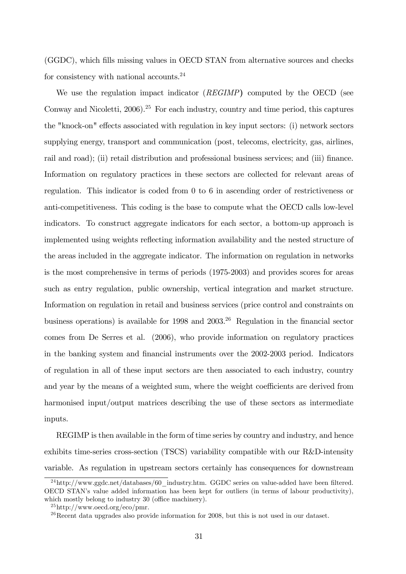(GGDC), which fills missing values in OECD STAN from alternative sources and checks for consistency with national accounts.<sup>24</sup>

We use the regulation impact indicator (REGIMP) computed by the OECD (see Conway and Nicoletti,  $2006$ ).<sup>25</sup> For each industry, country and time period, this captures the "knock-on" effects associated with regulation in key input sectors: (i) network sectors supplying energy, transport and communication (post, telecoms, electricity, gas, airlines, rail and road); (ii) retail distribution and professional business services; and (iii) finance. Information on regulatory practices in these sectors are collected for relevant areas of regulation. This indicator is coded from 0 to 6 in ascending order of restrictiveness or anti-competitiveness. This coding is the base to compute what the OECD calls low-level indicators. To construct aggregate indicators for each sector, a bottom-up approach is implemented using weights reflecting information availability and the nested structure of the areas included in the aggregate indicator. The information on regulation in networks is the most comprehensive in terms of periods (1975-2003) and provides scores for areas such as entry regulation, public ownership, vertical integration and market structure. Information on regulation in retail and business services (price control and constraints on business operations) is available for  $1998$  and  $2003<sup>26</sup>$  Regulation in the financial sector comes from De Serres et al. (2006), who provide information on regulatory practices in the banking system and Önancial instruments over the 2002-2003 period. Indicators of regulation in all of these input sectors are then associated to each industry, country and year by the means of a weighted sum, where the weight coefficients are derived from harmonised input/output matrices describing the use of these sectors as intermediate inputs.

REGIMP is then available in the form of time series by country and industry, and hence exhibits time-series cross-section (TSCS) variability compatible with our R&D-intensity variable. As regulation in upstream sectors certainly has consequences for downstream

 $^{24}$ http://www.ggdc.net/databases/60\_industry.htm. GGDC series on value-added have been filtered. OECD STANís value added information has been kept for outliers (in terms of labour productivity), which mostly belong to industry  $30$  (office machinery).

 $^{25}$ http://www.oecd.org/eco/pmr.

 $26$ Recent data upgrades also provide information for 2008, but this is not used in our dataset.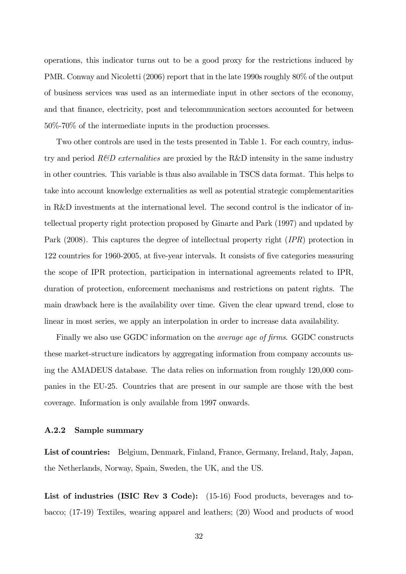operations, this indicator turns out to be a good proxy for the restrictions induced by PMR. Conway and Nicoletti (2006) report that in the late 1990s roughly 80% of the output of business services was used as an intermediate input in other sectors of the economy, and that finance, electricity, post and telecommunication sectors accounted for between 50%-70% of the intermediate inputs in the production processes.

Two other controls are used in the tests presented in Table 1. For each country, industry and period  $R\&D$  externalities are proxied by the R&D intensity in the same industry in other countries. This variable is thus also available in TSCS data format. This helps to take into account knowledge externalities as well as potential strategic complementarities in R&D investments at the international level. The second control is the indicator of intellectual property right protection proposed by Ginarte and Park (1997) and updated by Park (2008). This captures the degree of intellectual property right (IPR) protection in 122 countries for 1960-2005, at Öve-year intervals. It consists of Öve categories measuring the scope of IPR protection, participation in international agreements related to IPR, duration of protection, enforcement mechanisms and restrictions on patent rights. The main drawback here is the availability over time. Given the clear upward trend, close to linear in most series, we apply an interpolation in order to increase data availability.

Finally we also use GGDC information on the *average age of firms*. GGDC constructs these market-structure indicators by aggregating information from company accounts using the AMADEUS database. The data relies on information from roughly 120,000 companies in the EU-25. Countries that are present in our sample are those with the best coverage. Information is only available from 1997 onwards.

### A.2.2 Sample summary

List of countries: Belgium, Denmark, Finland, France, Germany, Ireland, Italy, Japan, the Netherlands, Norway, Spain, Sweden, the UK, and the US.

List of industries (ISIC Rev 3 Code): (15-16) Food products, beverages and tobacco; (17-19) Textiles, wearing apparel and leathers; (20) Wood and products of wood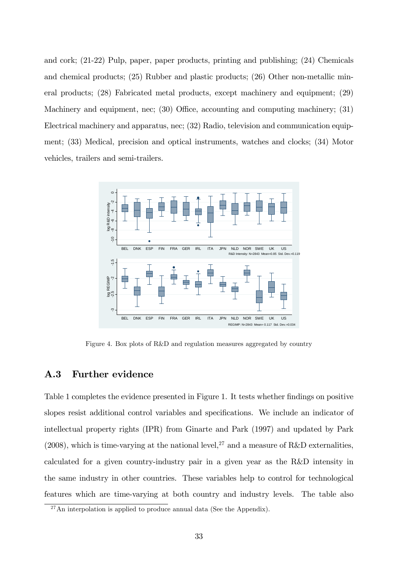and cork; (21-22) Pulp, paper, paper products, printing and publishing; (24) Chemicals and chemical products; (25) Rubber and plastic products; (26) Other non-metallic mineral products; (28) Fabricated metal products, except machinery and equipment; (29) Machinery and equipment, nec;  $(30)$  Office, accounting and computing machinery;  $(31)$ Electrical machinery and apparatus, nec; (32) Radio, television and communication equipment; (33) Medical, precision and optical instruments, watches and clocks; (34) Motor vehicles, trailers and semi-trailers.



Figure 4. Box plots of R&D and regulation measures aggregated by country

# A.3 Further evidence

Table 1 completes the evidence presented in Figure 1. It tests whether findings on positive slopes resist additional control variables and specifications. We include an indicator of intellectual property rights (IPR) from Ginarte and Park (1997) and updated by Park (2008), which is time-varying at the national level,<sup>27</sup> and a measure of R&D externalities, calculated for a given country-industry pair in a given year as the R&D intensity in the same industry in other countries. These variables help to control for technological features which are time-varying at both country and industry levels. The table also

<sup>&</sup>lt;sup>27</sup>An interpolation is applied to produce annual data (See the Appendix).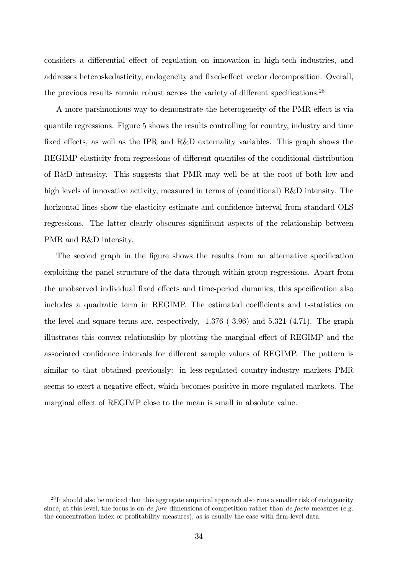considers a differential effect of regulation on innovation in high-tech industries, and addresses heteroskedasticity, endogeneity and fixed-effect vector decomposition. Overall, the previous results remain robust across the variety of different specifications.<sup>28</sup>

A more parsimonious way to demonstrate the heterogeneity of the PMR effect is via quantile regressions. Figure 5 shows the results controlling for country, industry and time fixed effects, as well as the IPR and  $R&D$  externality variables. This graph shows the REGIMP elasticity from regressions of different quantiles of the conditional distribution of R&D intensity. This suggests that PMR may well be at the root of both low and high levels of innovative activity, measured in terms of (conditional) R&D intensity. The horizontal lines show the elasticity estimate and confidence interval from standard OLS regressions. The latter clearly obscures significant aspects of the relationship between PMR and R&D intensity.

The second graph in the figure shows the results from an alternative specification exploiting the panel structure of the data through within-group regressions. Apart from the unobserved individual fixed effects and time-period dummies, this specification also includes a quadratic term in REGIMP. The estimated coefficients and t-statistics on the level and square terms are, respectively,  $-1.376$   $(-3.96)$  and  $5.321$   $(4.71)$ . The graph illustrates this convex relationship by plotting the marginal effect of REGIMP and the associated confidence intervals for different sample values of REGIMP. The pattern is similar to that obtained previously: in less-regulated country-industry markets PMR seems to exert a negative effect, which becomes positive in more-regulated markets. The marginal effect of REGIMP close to the mean is small in absolute value.

<sup>&</sup>lt;sup>28</sup>It should also be noticed that this aggregate empirical approach also runs a smaller risk of endogeneity since, at this level, the focus is on de jure dimensions of competition rather than de facto measures (e.g. the concentration index or profitability measures), as is usually the case with firm-level data.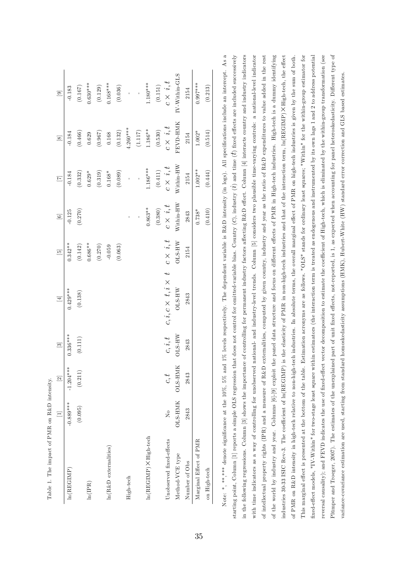| Table 1. The impact of PMR on R&D intensity. |                        |                |               |                                |                      |                 |                          |                      |                      |
|----------------------------------------------|------------------------|----------------|---------------|--------------------------------|----------------------|-----------------|--------------------------|----------------------|----------------------|
|                                              |                        | $\overline{2}$ | $\Xi$         | $[4]$                          | $\overline{5}$       | $\boxed{6}$     | $\boxed{7}$              | $\boxed{8}$          | $\boxed{6}$          |
| ln(REGIMP)                                   | $-0.889***$            | $-1.204***$    | $0.336***$    | $0.429***$                     | $0.342**$            | $-0.125$        | $-0.184$                 | $-0.184$             | $-0.183$             |
|                                              | (0.095)                | (0.211)        | (0.111)       | (0.138)                        | $\left(0.142\right)$ | (0.270)         | (0.332)                  | (0.466)              | $\left(0.167\right)$ |
| ln(IPR)                                      |                        |                |               |                                | $0.686**$            |                 | $0.629*$                 | 0.629                | $0.630***$           |
|                                              |                        |                |               |                                | $(0.270)$            |                 | (0.319)                  | (0.967)              | (0.129)              |
| $\ln(R\&D$ externalities)                    |                        |                |               |                                | $-0.059$             |                 | $0.168*$                 | $\,0.168\,$          | $0.168***$           |
|                                              |                        |                |               |                                | (0.063)              |                 | (0.089)                  | $\left(0.132\right)$ | (0.036)              |
| High-tech                                    |                        |                |               |                                |                      |                 | $\overline{\phantom{a}}$ | $1.260***$           |                      |
|                                              |                        |                |               |                                |                      |                 | $\frac{1}{2}$            | $(1.117)$            | $\overline{1}$       |
| ln(REGIMP) × High-tech                       |                        |                |               |                                |                      | $0.863**$       | $1.186***$               | $1.186**$            | $1.180***$           |
|                                              |                        |                |               |                                |                      | (0.380)         | (0.411)                  | (0.530)              | (0.151)              |
| Unobserved fixed-effects                     | $\overline{X}^{\circ}$ | c, t           | $c,i,t$       | $c, i, c \times t, i \times t$ | $c \times i, t$      | $c \times i, t$ | $c \times i, t$          | $c \times \ i, t$    | $c \times \ i, t$    |
| Method-VCE type                              | OLS-HMK OLS-HMI        |                | <b>WH-STC</b> | OLS-HW                         | OLS-HW               | Within-HW       | Within-HW                | FEVD-HMK             | $IV-Whin-GLS$        |
| Number of Obs                                | 2843                   | 2843           | 2843          | 2843                           | 2154                 | 2843            | 2154                     | 2154                 | 2154                 |
| Marginal Effect of PMR                       |                        |                |               |                                |                      | $0.738*$        | $1.002**$                | $1.002*$             | $0.997***$           |
| on High-tech                                 |                        |                |               |                                |                      | (0.410)         | (0.444)                  | (0.514)              | (0.213)              |
|                                              |                        |                |               |                                |                      |                 |                          |                      |                      |

Note: \*, \*\*\*, \*\*\* denote significance at the 10%, 5% and 1% levels respectively. The dependent variable is R&D intensity (in logs). All specifications include an intercept. As a Note: \*, \*\*\* \*\*\* denote significance at the 10%, 5% and 1% levels respectively. The dependent variable is R&D intensity (in logs). All specifications include an intercept. As a starting point, Column [1] reports a simple OLS regression that does not control for omitted-variable bias. Country  $(C)$ , industry  $(i)$  and time  $(t)$  fixed effects are included successively in the following regressions. Column [3] shows the importance of controlling for permanent industry factors affecting R&D effort. Column [4] interacts country and industry indicators with time indicators as a way of controlling for unobserved national- and industry-level trends. Column [5] considers two plausible time-varying controls: a national-level indicator This marginal effect is presented at the bottom of the table. Estimation acronyms are as follows. "OLS" stands for ordinary least squares; "Within" for the within-group estimator for reversal causality); and FEVD indicates the use of fixed-effect vector decomposition to estimate the coefficient of High-tech, which is eliminated by the within-group transformation (see Plumper and Troeger, 2007). The estimates of the unexplained part of unit fixed effects, not-reported, is 1, as expected when accounting for panel heteroskedasticity. Different type of of intellectual property rights (IPR) and a measure of R&D externalities, computed by given country, industry and year as the ratio of R&D expenditures to value added in the rest of the world by industry and year. Columns [6]-[9] exploit the panel data structure and focus on different effects of PMR in High-tech industries. High-tech is a dummy identifying ndustries 30-33 ISIC Rev-3. The coefficient of ln(REGIMP) is the elasticity of PMR in non-high-tech industries and that of the interaction term, ln(REGIMP) XHigh-tech, the effect of PMR on R&D intensity in high-tech relative to non-high-tech industries. In absolute terms, the overall marginal effect of PMR on high-tech industries is given by the sum of both. fixed-effect models, "IV-Within" for two-stage least square within estimators (the interaction term is treated as endogenous and instrumented by its own lags 1 and 2 to address potential Pltmper and Troeger, 2007). The estimates of the unexplained part of unit fixed effects, not-reported, is 1, as expected when accounting for panel heteroskedasticity. Different type of starting point, Column [1] reports a simple OLS regression that does not control for omitted-variable bias. Country  $(C)$ , industry  $(i)$  and time  $(t)$  fixed effects are included successively in the following regressions. Column [3] shows the importance of controlling for permanent industry factors affecting R&D effort. Column [4] interacts country and industry indicators with time indicators as a way of controlling for unobserved national- and industry-level trends. Column [5] considers two plausible time-varying controls: a national-level indicator of intellectual property rights (IPR) and a measure of R&D externalities, computed by given country, industry and year as the ratio of R&D expenditures to value added in the rest of the world by industry and year. Columns [6]-[9] exploit the panel data structure and focus on different effects of PMR in High-tech industries. High-tech is a dummy identifying High-tech, the effect of PMR on R&D intensity in high-tech relative to non-high-tech industries. In absolute terms, the overall marginal e§ect of PMR on high-tech industries is given by the sum of both. This marginal effect is presented at the bottom of the table. Estimation acronyms are as follows. "OLS" stands for ordinary least squares; "Within" for the within-group estimator for fixed-effect models, "IV-Within" for two-stage least square within estimators (the interaction term is treated as endogenous and instrumented by its own lags 1 and 2 to address potential reversal causality); and FEVD indicates the use of fixed-effect vector decomposition to estimate the coefficient of High-tech, which is eliminated by the within-group transformation (see variance-covariance estimation are used, starting from standard homoskedasticity assumptions (HMK), Hubert-White (HW) standard error correction and GLS based estimates. variance-covariance estimation are used, starting from standard homoskedasticity assumptions (HMK), Hubert-White (HW) standard error correction and GLS based estimates. industries 30-33 ISIC Rev-3. The coefficient of ln(REGIMP) is the elasticity of PMR in non-high-tech industries and that of the interaction term, ln(REGIMP)  $\times$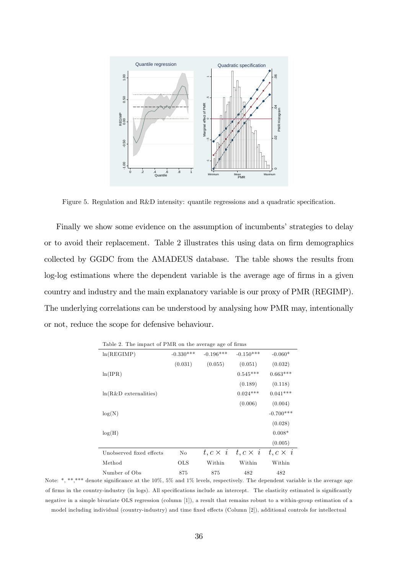

Figure 5. Regulation and R&D intensity: quantile regressions and a quadratic specification.

Finally we show some evidence on the assumption of incumbents' strategies to delay or to avoid their replacement. Table 2 illustrates this using data on firm demographics collected by GGDC from the AMADEUS database. The table shows the results from log-log estimations where the dependent variable is the average age of firms in a given country and industry and the main explanatory variable is our proxy of PMR (REGIMP). The underlying correlations can be understood by analysing how PMR may, intentionally or not, reduce the scope for defensive behaviour.

| ln(REGIMP)               | $-0.330***$ | $-0.196***$     | $-0.150***$     | $-0.060*$               |
|--------------------------|-------------|-----------------|-----------------|-------------------------|
|                          | (0.031)     | (0.055)         | (0.051)         | (0.032)                 |
| ln(IPR)                  |             |                 | $0.545***$      | $0.663***$              |
|                          |             |                 | (0.189)         | (0.118)                 |
| $ln(R&D)$ externalities) |             |                 | $0.024***$      | $0.041***$              |
|                          |             |                 | (0.006)         | (0.004)                 |
| log(N)                   |             |                 |                 | $-0.700***$             |
|                          |             |                 |                 | (0.028)                 |
| log(H)                   |             |                 |                 | $0.008*$                |
|                          |             |                 |                 | (0.005)                 |
| Unobserved fixed effects | No          | $t, c \times i$ | $t, c \times i$ | $t, c \times i$         |
| Method                   | OLS         | Within          | Within          | $\operatorname{Within}$ |
| Number of Obs            | 875         | 875             | 482             | 482                     |

Table 2. The impact of PMR on the average age of firms

Note: \*, \*\*,\*\*\* denote significance at the 10%, 5% and 1% levels, respectively. The dependent variable is the average age of firms in the country-industry (in logs). All specifications include an intercept. The elasticity estimated is significantly negative in a simple bivariate OLS regression (column [1]), a result that remains robust to a within-group estimation of a model including individual (country-industry) and time fixed effects (Column [2]), additional controls for intellectual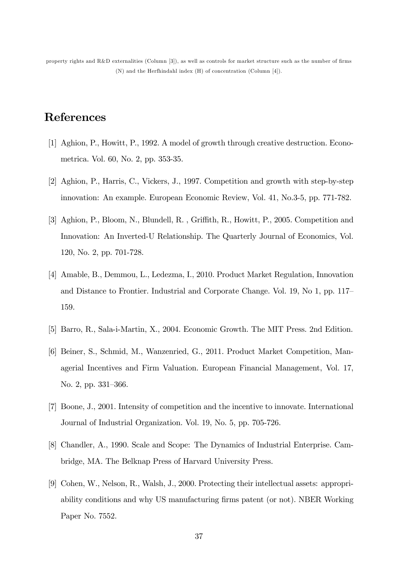property rights and  $R&D$  externalities (Column [3]), as well as controls for market structure such as the number of firms (N) and the Herfhindahl index (H) of concentration (Column [4]).

# References

- [1] Aghion, P., Howitt, P., 1992. A model of growth through creative destruction. Econometrica. Vol. 60, No. 2, pp. 353-35.
- [2] Aghion, P., Harris, C., Vickers, J., 1997. Competition and growth with step-by-step innovation: An example. European Economic Review, Vol. 41, No.3-5, pp. 771-782.
- [3] Aghion, P., Bloom, N., Blundell, R., Griffith, R., Howitt, P., 2005. Competition and Innovation: An Inverted-U Relationship. The Quarterly Journal of Economics, Vol. 120, No. 2, pp. 701-728.
- [4] Amable, B., Demmou, L., Ledezma, I., 2010. Product Market Regulation, Innovation and Distance to Frontier. Industrial and Corporate Change. Vol. 19, No 1, pp. 117 159.
- [5] Barro, R., Sala-i-Martin, X., 2004. Economic Growth. The MIT Press. 2nd Edition.
- [6] Beiner, S., Schmid, M., Wanzenried, G., 2011. Product Market Competition, Managerial Incentives and Firm Valuation. European Financial Management, Vol. 17, No. 2, pp. 331–366.
- [7] Boone, J., 2001. Intensity of competition and the incentive to innovate. International Journal of Industrial Organization. Vol. 19, No. 5, pp. 705-726.
- [8] Chandler, A., 1990. Scale and Scope: The Dynamics of Industrial Enterprise. Cambridge, MA. The Belknap Press of Harvard University Press.
- [9] Cohen, W., Nelson, R., Walsh, J., 2000. Protecting their intellectual assets: appropriability conditions and why US manufacturing Örms patent (or not). NBER Working Paper No. 7552.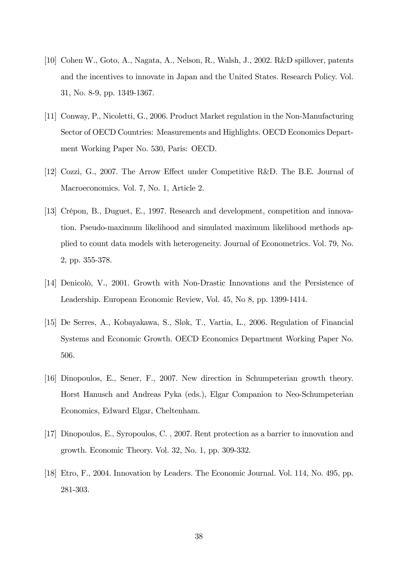- [10] Cohen W., Goto, A., Nagata, A., Nelson, R., Walsh, J., 2002. R&D spillover, patents and the incentives to innovate in Japan and the United States. Research Policy. Vol. 31, No. 8-9, pp. 1349-1367.
- [11] Conway, P., Nicoletti, G., 2006. Product Market regulation in the Non-Manufacturing Sector of OECD Countries: Measurements and Highlights. OECD Economics Department Working Paper No. 530, Paris: OECD.
- [12] Cozzi, G., 2007. The Arrow Effect under Competitive R&D. The B.E. Journal of Macroeconomics. Vol. 7, No. 1, Article 2.
- [13] Crépon, B., Duguet, E., 1997. Research and development, competition and innovation. Pseudo-maximum likelihood and simulated maximum likelihood methods applied to count data models with heterogeneity. Journal of Econometrics. Vol. 79, No. 2, pp. 355-378.
- [14] Denicolò, V., 2001. Growth with Non-Drastic Innovations and the Persistence of Leadership. European Economic Review, Vol. 45, No 8, pp. 1399-1414.
- [15] De Serres, A., Kobayakawa, S., Sløk, T., Vartia, L., 2006. Regulation of Financial Systems and Economic Growth. OECD Economics Department Working Paper No. 506.
- [16] Dinopoulos, E., Sener, F., 2007. New direction in Schumpeterian growth theory. Horst Hanusch and Andreas Pyka (eds.), Elgar Companion to Neo-Schumpeterian Economics, Edward Elgar, Cheltenham.
- [17] Dinopoulos, E., Syropoulos, C. , 2007. Rent protection as a barrier to innovation and growth. Economic Theory. Vol. 32, No. 1, pp. 309-332.
- [18] Etro, F., 2004. Innovation by Leaders. The Economic Journal. Vol. 114, No. 495, pp. 281-303.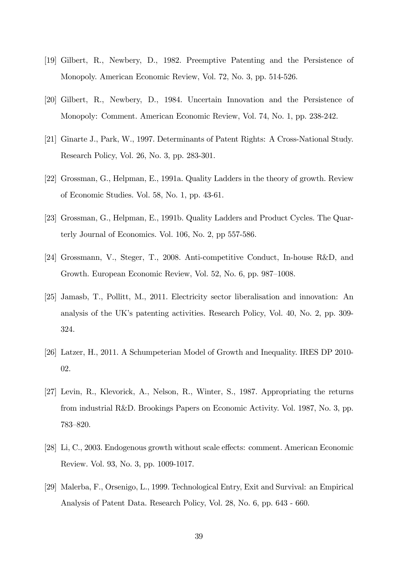- [19] Gilbert, R., Newbery, D., 1982. Preemptive Patenting and the Persistence of Monopoly. American Economic Review, Vol. 72, No. 3, pp. 514-526.
- [20] Gilbert, R., Newbery, D., 1984. Uncertain Innovation and the Persistence of Monopoly: Comment. American Economic Review, Vol. 74, No. 1, pp. 238-242.
- [21] Ginarte J., Park, W., 1997. Determinants of Patent Rights: A Cross-National Study. Research Policy, Vol. 26, No. 3, pp. 283-301.
- [22] Grossman, G., Helpman, E., 1991a. Quality Ladders in the theory of growth. Review of Economic Studies. Vol. 58, No. 1, pp. 43-61.
- [23] Grossman, G., Helpman, E., 1991b. Quality Ladders and Product Cycles. The Quarterly Journal of Economics. Vol. 106, No. 2, pp 557-586.
- [24] Grossmann, V., Steger, T., 2008. Anti-competitive Conduct, In-house R&D, and Growth. European Economic Review, Vol. 52, No. 6, pp. 987–1008.
- [25] Jamasb, T., Pollitt, M., 2011. Electricity sector liberalisation and innovation: An analysis of the UK's patenting activities. Research Policy, Vol. 40, No. 2, pp. 309-324.
- [26] Latzer, H., 2011. A Schumpeterian Model of Growth and Inequality. IRES DP 2010- 02.
- [27] Levin, R., Klevorick, A., Nelson, R., Winter, S., 1987. Appropriating the returns from industrial R&D. Brookings Papers on Economic Activity. Vol. 1987, No. 3, pp. 783-820.
- [28] Li, C., 2003. Endogenous growth without scale effects: comment. American Economic Review. Vol. 93, No. 3, pp. 1009-1017.
- [29] Malerba, F., Orsenigo, L., 1999. Technological Entry, Exit and Survival: an Empirical Analysis of Patent Data. Research Policy, Vol. 28, No. 6, pp. 643 - 660.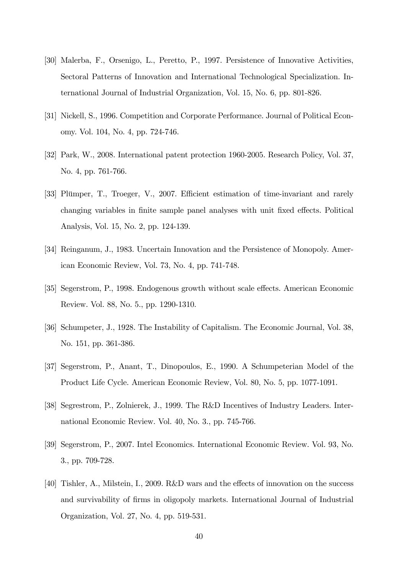- [30] Malerba, F., Orsenigo, L., Peretto, P., 1997. Persistence of Innovative Activities, Sectoral Patterns of Innovation and International Technological Specialization. International Journal of Industrial Organization, Vol. 15, No. 6, pp. 801-826.
- [31] Nickell, S., 1996. Competition and Corporate Performance. Journal of Political Economy. Vol. 104, No. 4, pp. 724-746.
- [32] Park, W., 2008. International patent protection 1960-2005. Research Policy, Vol. 37, No. 4, pp. 761-766.
- [33] Plümper, T., Troeger, V., 2007. Efficient estimation of time-invariant and rarely changing variables in finite sample panel analyses with unit fixed effects. Political Analysis, Vol. 15, No. 2, pp. 124-139.
- [34] Reinganum, J., 1983. Uncertain Innovation and the Persistence of Monopoly. American Economic Review, Vol. 73, No. 4, pp. 741-748.
- [35] Segerstrom, P., 1998. Endogenous growth without scale effects. American Economic Review. Vol. 88, No. 5., pp. 1290-1310.
- [36] Schumpeter, J., 1928. The Instability of Capitalism. The Economic Journal, Vol. 38, No. 151, pp. 361-386.
- [37] Segerstrom, P., Anant, T., Dinopoulos, E., 1990. A Schumpeterian Model of the Product Life Cycle. American Economic Review, Vol. 80, No. 5, pp. 1077-1091.
- [38] Segrestrom, P., Zolnierek, J., 1999. The R&D Incentives of Industry Leaders. International Economic Review. Vol. 40, No. 3., pp. 745-766.
- [39] Segerstrom, P., 2007. Intel Economics. International Economic Review. Vol. 93, No. 3., pp. 709-728.
- [40] Tishler, A., Milstein, I., 2009. R&D wars and the effects of innovation on the success and survivability of firms in oligopoly markets. International Journal of Industrial Organization, Vol. 27, No. 4, pp. 519-531.